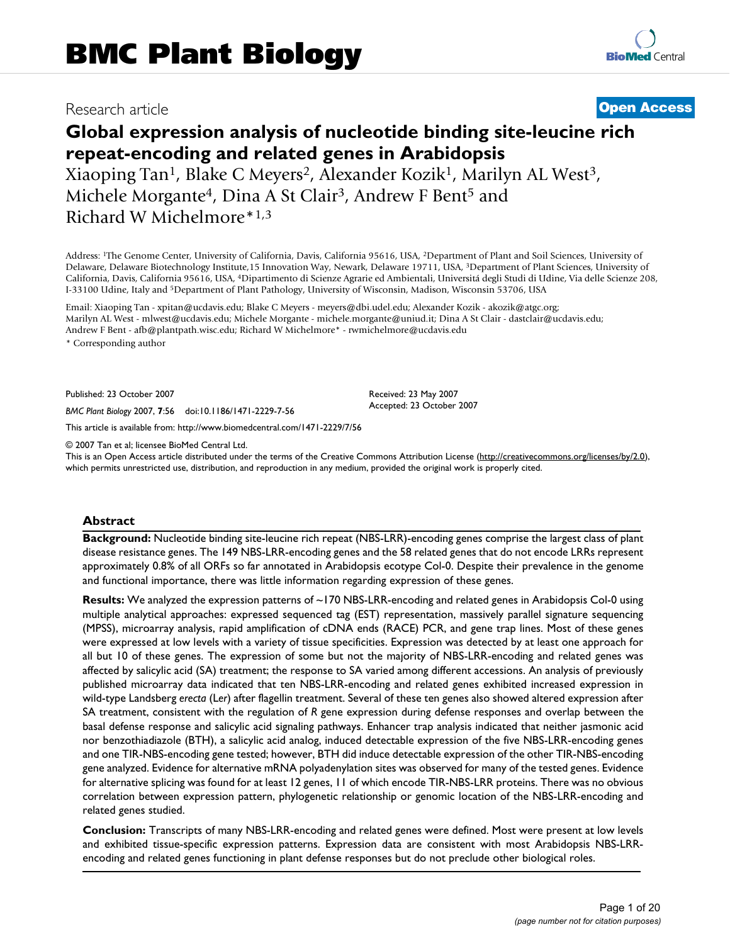## Research article **[Open Access](http://www.biomedcentral.com/info/about/charter/)**

# **Global expression analysis of nucleotide binding site-leucine rich repeat-encoding and related genes in Arabidopsis**

Xiaoping Tan<sup>1</sup>, Blake C Meyers<sup>2</sup>, Alexander Kozik<sup>1</sup>, Marilyn AL West<sup>3</sup>, Michele Morgante<sup>4</sup>, Dina A St Clair<sup>3</sup>, Andrew F Bent<sup>5</sup> and Richard W Michelmore\*1,3

Address: 1The Genome Center, University of California, Davis, California 95616, USA, 2Department of Plant and Soil Sciences, University of Delaware, Delaware Biotechnology Institute,15 Innovation Way, Newark, Delaware 19711, USA, 3Department of Plant Sciences, University of California, Davis, California 95616, USA, 4Dipartimento di Scienze Agrarie ed Ambientali, Universitá degli Studi di Udine, Via delle Scienze 208, I-33100 Udine, Italy and 5Department of Plant Pathology, University of Wisconsin, Madison, Wisconsin 53706, USA

Email: Xiaoping Tan - xpitan@ucdavis.edu; Blake C Meyers - meyers@dbi.udel.edu; Alexander Kozik - akozik@atgc.org; Marilyn AL West - mlwest@ucdavis.edu; Michele Morgante - michele.morgante@uniud.it; Dina A St Clair - dastclair@ucdavis.edu; Andrew F Bent - afb@plantpath.wisc.edu; Richard W Michelmore\* - rwmichelmore@ucdavis.edu \* Corresponding author

Published: 23 October 2007

*BMC Plant Biology* 2007, **7**:56 doi:10.1186/1471-2229-7-56

[This article is available from: http://www.biomedcentral.com/1471-2229/7/56](http://www.biomedcentral.com/1471-2229/7/56)

© 2007 Tan et al; licensee BioMed Central Ltd.

This is an Open Access article distributed under the terms of the Creative Commons Attribution License [\(http://creativecommons.org/licenses/by/2.0\)](http://creativecommons.org/licenses/by/2.0), which permits unrestricted use, distribution, and reproduction in any medium, provided the original work is properly cited.

Received: 23 May 2007 Accepted: 23 October 2007

#### **Abstract**

**Background:** Nucleotide binding site-leucine rich repeat (NBS-LRR)-encoding genes comprise the largest class of plant disease resistance genes. The 149 NBS-LRR-encoding genes and the 58 related genes that do not encode LRRs represent approximately 0.8% of all ORFs so far annotated in Arabidopsis ecotype Col-0. Despite their prevalence in the genome and functional importance, there was little information regarding expression of these genes.

**Results:** We analyzed the expression patterns of ~170 NBS-LRR-encoding and related genes in Arabidopsis Col-0 using multiple analytical approaches: expressed sequenced tag (EST) representation, massively parallel signature sequencing (MPSS), microarray analysis, rapid amplification of cDNA ends (RACE) PCR, and gene trap lines. Most of these genes were expressed at low levels with a variety of tissue specificities. Expression was detected by at least one approach for all but 10 of these genes. The expression of some but not the majority of NBS-LRR-encoding and related genes was affected by salicylic acid (SA) treatment; the response to SA varied among different accessions. An analysis of previously published microarray data indicated that ten NBS-LRR-encoding and related genes exhibited increased expression in wild-type Landsberg *erecta* (L*er*) after flagellin treatment. Several of these ten genes also showed altered expression after SA treatment, consistent with the regulation of *R* gene expression during defense responses and overlap between the basal defense response and salicylic acid signaling pathways. Enhancer trap analysis indicated that neither jasmonic acid nor benzothiadiazole (BTH), a salicylic acid analog, induced detectable expression of the five NBS-LRR-encoding genes and one TIR-NBS-encoding gene tested; however, BTH did induce detectable expression of the other TIR-NBS-encoding gene analyzed. Evidence for alternative mRNA polyadenylation sites was observed for many of the tested genes. Evidence for alternative splicing was found for at least 12 genes, 11 of which encode TIR-NBS-LRR proteins. There was no obvious correlation between expression pattern, phylogenetic relationship or genomic location of the NBS-LRR-encoding and related genes studied.

**Conclusion:** Transcripts of many NBS-LRR-encoding and related genes were defined. Most were present at low levels and exhibited tissue-specific expression patterns. Expression data are consistent with most Arabidopsis NBS-LRRencoding and related genes functioning in plant defense responses but do not preclude other biological roles.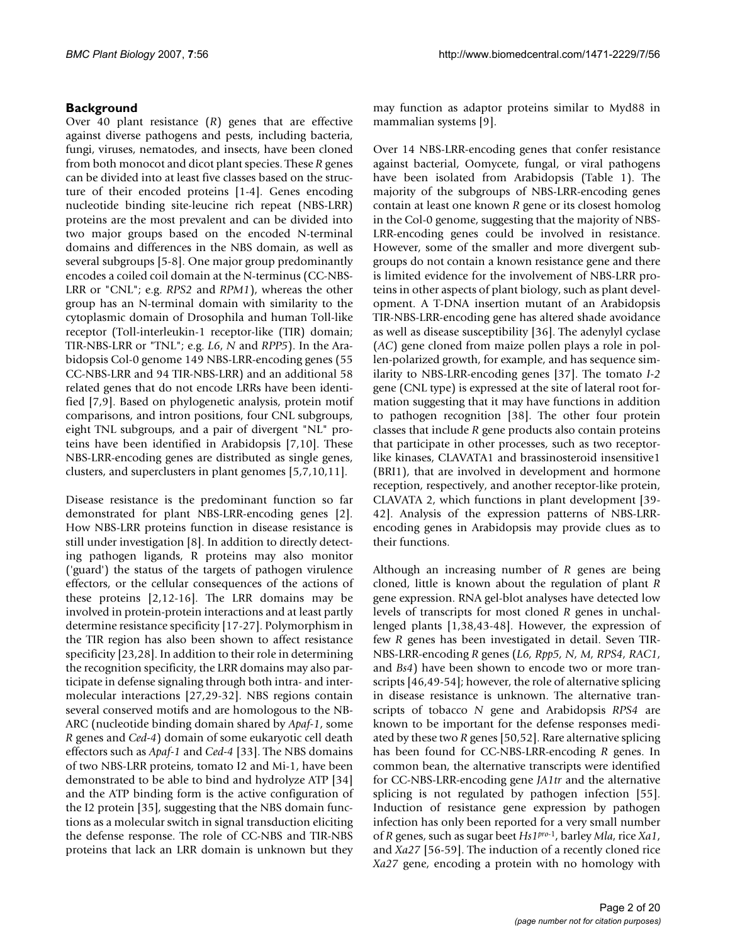### **Background**

Over 40 plant resistance (*R*) genes that are effective against diverse pathogens and pests, including bacteria, fungi, viruses, nematodes, and insects, have been cloned from both monocot and dicot plant species. These *R* genes can be divided into at least five classes based on the structure of their encoded proteins [1-4]. Genes encoding nucleotide binding site-leucine rich repeat (NBS-LRR) proteins are the most prevalent and can be divided into two major groups based on the encoded N-terminal domains and differences in the NBS domain, as well as several subgroups [5-8]. One major group predominantly encodes a coiled coil domain at the N-terminus (CC-NBS-LRR or "CNL"; e.g. *RPS2* and *RPM1*), whereas the other group has an N-terminal domain with similarity to the cytoplasmic domain of Drosophila and human Toll-like receptor (Toll-interleukin-1 receptor-like (TIR) domain; TIR-NBS-LRR or "TNL"; e.g. *L6*, *N* and *RPP5*). In the Arabidopsis Col-0 genome 149 NBS-LRR-encoding genes (55 CC-NBS-LRR and 94 TIR-NBS-LRR) and an additional 58 related genes that do not encode LRRs have been identified [7,9]. Based on phylogenetic analysis, protein motif comparisons, and intron positions, four CNL subgroups, eight TNL subgroups, and a pair of divergent "NL" proteins have been identified in Arabidopsis [7,10]. These NBS-LRR-encoding genes are distributed as single genes, clusters, and superclusters in plant genomes [5,7,10,11].

Disease resistance is the predominant function so far demonstrated for plant NBS-LRR-encoding genes [2]. How NBS-LRR proteins function in disease resistance is still under investigation [8]. In addition to directly detecting pathogen ligands, R proteins may also monitor ('guard') the status of the targets of pathogen virulence effectors, or the cellular consequences of the actions of these proteins [2,12-16]. The LRR domains may be involved in protein-protein interactions and at least partly determine resistance specificity [17-27]. Polymorphism in the TIR region has also been shown to affect resistance specificity [23,28]. In addition to their role in determining the recognition specificity, the LRR domains may also participate in defense signaling through both intra- and intermolecular interactions [27,29-32]. NBS regions contain several conserved motifs and are homologous to the NB-ARC (nucleotide binding domain shared by *Apaf-1*, some *R* genes and *Ced-4*) domain of some eukaryotic cell death effectors such as *Apaf-1* and *Ced-4* [33]. The NBS domains of two NBS-LRR proteins, tomato I2 and Mi-1, have been demonstrated to be able to bind and hydrolyze ATP [34] and the ATP binding form is the active configuration of the I2 protein [35], suggesting that the NBS domain functions as a molecular switch in signal transduction eliciting the defense response. The role of CC-NBS and TIR-NBS proteins that lack an LRR domain is unknown but they may function as adaptor proteins similar to Myd88 in mammalian systems [9].

Over 14 NBS-LRR-encoding genes that confer resistance against bacterial, Oomycete, fungal, or viral pathogens have been isolated from Arabidopsis (Table 1). The majority of the subgroups of NBS-LRR-encoding genes contain at least one known *R* gene or its closest homolog in the Col-0 genome, suggesting that the majority of NBS-LRR-encoding genes could be involved in resistance. However, some of the smaller and more divergent subgroups do not contain a known resistance gene and there is limited evidence for the involvement of NBS-LRR proteins in other aspects of plant biology, such as plant development. A T-DNA insertion mutant of an Arabidopsis TIR-NBS-LRR-encoding gene has altered shade avoidance as well as disease susceptibility [36]. The adenylyl cyclase (*AC*) gene cloned from maize pollen plays a role in pollen-polarized growth, for example, and has sequence similarity to NBS-LRR-encoding genes [37]. The tomato *I-2* gene (CNL type) is expressed at the site of lateral root formation suggesting that it may have functions in addition to pathogen recognition [38]. The other four protein classes that include *R* gene products also contain proteins that participate in other processes, such as two receptorlike kinases, CLAVATA1 and brassinosteroid insensitive1 (BRI1), that are involved in development and hormone reception, respectively, and another receptor-like protein, CLAVATA 2, which functions in plant development [39- 42]. Analysis of the expression patterns of NBS-LRRencoding genes in Arabidopsis may provide clues as to their functions.

Although an increasing number of *R* genes are being cloned, little is known about the regulation of plant *R* gene expression. RNA gel-blot analyses have detected low levels of transcripts for most cloned *R* genes in unchallenged plants [1,38,43-48]. However, the expression of few *R* genes has been investigated in detail. Seven TIR-NBS-LRR-encoding *R* genes (*L6, Rpp5, N, M, RPS4, RAC1*, and *Bs4*) have been shown to encode two or more transcripts [46,49-54]; however, the role of alternative splicing in disease resistance is unknown. The alternative transcripts of tobacco *N* gene and Arabidopsis *RPS4* are known to be important for the defense responses mediated by these two *R* genes [50,52]. Rare alternative splicing has been found for CC-NBS-LRR-encoding *R* genes. In common bean, the alternative transcripts were identified for CC-NBS-LRR-encoding gene *JA1tr* and the alternative splicing is not regulated by pathogen infection [55]. Induction of resistance gene expression by pathogen infection has only been reported for a very small number of *R* genes, such as sugar beet *Hs1pro*-1, barley *Mla*, rice *Xa1*, and *Xa27* [56-59]. The induction of a recently cloned rice *Xa27* gene, encoding a protein with no homology with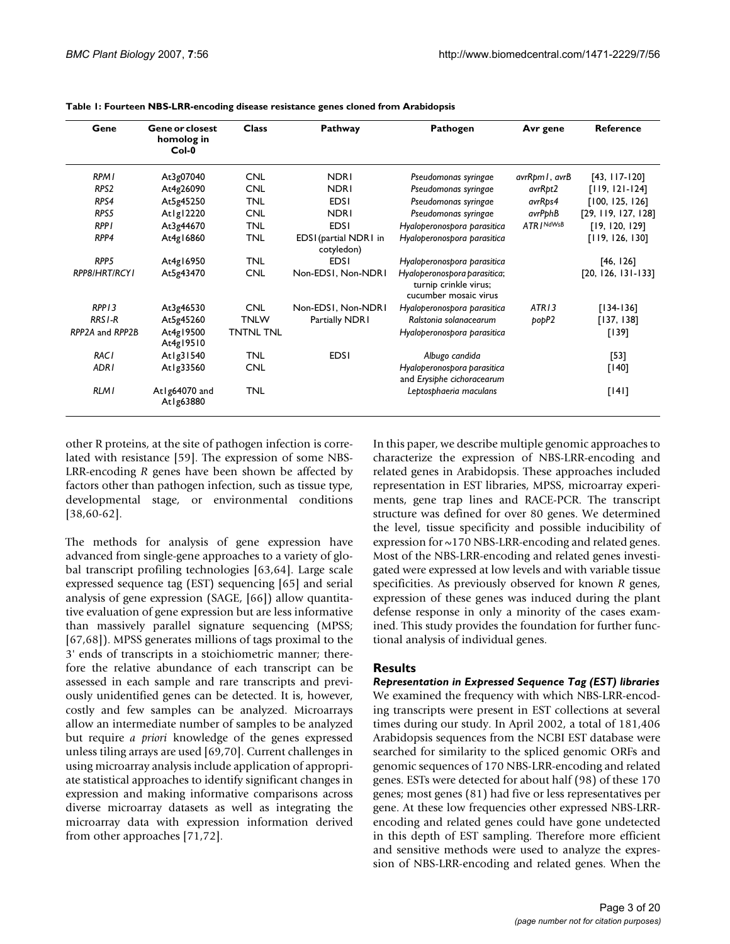| Gene               | <b>Gene or closest</b><br>homolog in<br>$Col-0$ | <b>Class</b>     | Pathway                             | Pathogen                                                                       | Avr gene          | <b>Reference</b>     |
|--------------------|-------------------------------------------------|------------------|-------------------------------------|--------------------------------------------------------------------------------|-------------------|----------------------|
| <b>RPMI</b>        | At3g07040                                       | <b>CNL</b>       | <b>NDRI</b>                         | Pseudomonas syringae                                                           | avrRpm I , avrB   | $[43, 117 - 120]$    |
| RPS <sub>2</sub>   | At4g26090                                       | <b>CNL</b>       | <b>NDRI</b>                         | Pseudomonas syringae                                                           | avrRpt2           | $[119, 121 - 124]$   |
| RPS4               | At5g45250                                       | <b>TNL</b>       | <b>EDSI</b>                         | Pseudomonas syringae                                                           | avrRps4           | [100, 125, 126]      |
| RPS5               | Atlg12220                                       | <b>CNL</b>       | <b>NDRI</b>                         | Pseudomonas syringae                                                           | avrPphB           | [29, 119, 127, 128]  |
| <b>RPPI</b>        | At3g44670                                       | <b>TNL</b>       | <b>EDSI</b>                         | Hyaloperonospora parasitica                                                    | ATR / NdWsB       | [19, 120, 129]       |
| RPP4               | At4g16860                                       | <b>TNL</b>       | EDSI (partial NDRI in<br>cotyledon) | Hyaloperonospora parasitica                                                    |                   | [119, 126, 130]      |
| RPP <sub>5</sub>   | At4g16950                                       | <b>TNL</b>       | <b>EDSI</b>                         | Hyaloperonospora parasitica                                                    |                   | [46, 126]            |
| RPP8/HRT/RCYI      | At5g43470                                       | <b>CNL</b>       | Non-EDS1, Non-NDR1                  | Hyaloperonospora parasitica;<br>turnip crinkle virus;<br>cucumber mosaic virus |                   | $[20, 126, 131-133]$ |
| RPP13              | At3g46530                                       | <b>CNL</b>       | Non-EDS1, Non-NDR1                  | Hyaloperonospora parasitica                                                    | ATR <sub>13</sub> | $[134-136]$          |
| RRS <sub>I-R</sub> | At5g45260                                       | <b>TNLW</b>      | Partially NDRI                      | Ralstonia solanacearum                                                         | popP2             | [137, 138]           |
| RPP2A and RPP2B    | At4g19500<br>At4g19510                          | <b>TNTNL TNL</b> |                                     | Hyaloperonospora parasitica                                                    |                   | [139]                |
| <b>RACI</b>        | At 1g31540                                      | <b>TNL</b>       | <b>EDSI</b>                         | Albugo candida                                                                 |                   | [53]                 |
| ADR <sub>I</sub>   | At1g33560                                       | <b>CNL</b>       |                                     | Hyaloperonospora parasitica<br>and Erysiphe cichoracearum                      |                   | $[140]$              |
| <b>RLMI</b>        | At Ig64070 and<br>At1g63880                     | <b>TNL</b>       |                                     | Leptosphaeria maculans                                                         |                   | [141]                |

**Table 1: Fourteen NBS-LRR-encoding disease resistance genes cloned from Arabidopsis**

other R proteins, at the site of pathogen infection is correlated with resistance [59]. The expression of some NBS-LRR-encoding *R* genes have been shown be affected by factors other than pathogen infection, such as tissue type, developmental stage, or environmental conditions [38,60-62].

The methods for analysis of gene expression have advanced from single-gene approaches to a variety of global transcript profiling technologies [63,64]. Large scale expressed sequence tag (EST) sequencing [65] and serial analysis of gene expression (SAGE, [66]) allow quantitative evaluation of gene expression but are less informative than massively parallel signature sequencing (MPSS; [67,68]). MPSS generates millions of tags proximal to the 3' ends of transcripts in a stoichiometric manner; therefore the relative abundance of each transcript can be assessed in each sample and rare transcripts and previously unidentified genes can be detected. It is, however, costly and few samples can be analyzed. Microarrays allow an intermediate number of samples to be analyzed but require *a priori* knowledge of the genes expressed unless tiling arrays are used [69,70]. Current challenges in using microarray analysis include application of appropriate statistical approaches to identify significant changes in expression and making informative comparisons across diverse microarray datasets as well as integrating the microarray data with expression information derived from other approaches [71,72].

In this paper, we describe multiple genomic approaches to characterize the expression of NBS-LRR-encoding and related genes in Arabidopsis. These approaches included representation in EST libraries, MPSS, microarray experiments, gene trap lines and RACE-PCR. The transcript structure was defined for over 80 genes. We determined the level, tissue specificity and possible inducibility of expression for ~170 NBS-LRR-encoding and related genes. Most of the NBS-LRR-encoding and related genes investigated were expressed at low levels and with variable tissue specificities. As previously observed for known *R* genes, expression of these genes was induced during the plant defense response in only a minority of the cases examined. This study provides the foundation for further functional analysis of individual genes.

#### **Results**

*Representation in Expressed Sequence Tag (EST) libraries* We examined the frequency with which NBS-LRR-encoding transcripts were present in EST collections at several times during our study. In April 2002, a total of 181,406 Arabidopsis sequences from the NCBI EST database were searched for similarity to the spliced genomic ORFs and genomic sequences of 170 NBS-LRR-encoding and related genes. ESTs were detected for about half (98) of these 170 genes; most genes (81) had five or less representatives per gene. At these low frequencies other expressed NBS-LRRencoding and related genes could have gone undetected in this depth of EST sampling. Therefore more efficient and sensitive methods were used to analyze the expression of NBS-LRR-encoding and related genes. When the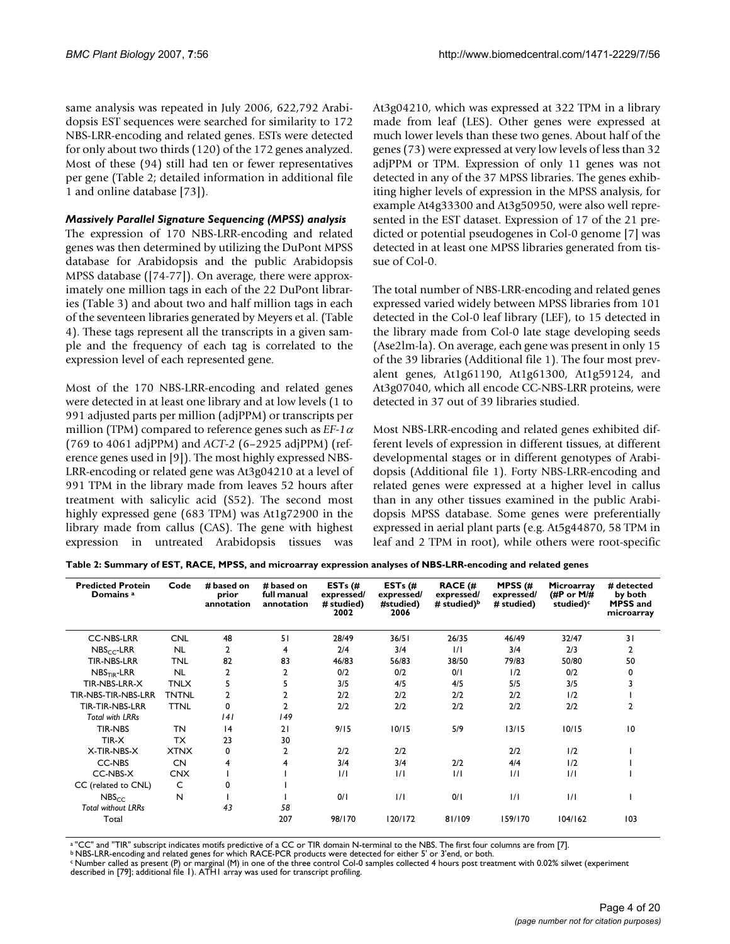same analysis was repeated in July 2006, 622,792 Arabidopsis EST sequences were searched for similarity to 172 NBS-LRR-encoding and related genes. ESTs were detected for only about two thirds (120) of the 172 genes analyzed. Most of these (94) still had ten or fewer representatives per gene (Table 2; detailed information in additional file 1 and online database [73]).

#### *Massively Parallel Signature Sequencing (MPSS) analysis*

The expression of 170 NBS-LRR-encoding and related genes was then determined by utilizing the DuPont MPSS database for Arabidopsis and the public Arabidopsis MPSS database ([74-77]). On average, there were approximately one million tags in each of the 22 DuPont libraries (Table 3) and about two and half million tags in each of the seventeen libraries generated by Meyers et al. (Table 4). These tags represent all the transcripts in a given sample and the frequency of each tag is correlated to the expression level of each represented gene.

Most of the 170 NBS-LRR-encoding and related genes were detected in at least one library and at low levels (1 to 991 adjusted parts per million (adjPPM) or transcripts per million (TPM) compared to reference genes such as *EF-1*<sup>α</sup> (769 to 4061 adjPPM) and *ACT-2* (6–2925 adjPPM) (reference genes used in [9]). The most highly expressed NBS-LRR-encoding or related gene was At3g04210 at a level of 991 TPM in the library made from leaves 52 hours after treatment with salicylic acid (S52). The second most highly expressed gene (683 TPM) was At1g72900 in the library made from callus (CAS). The gene with highest expression in untreated Arabidopsis tissues was At3g04210, which was expressed at 322 TPM in a library made from leaf (LES). Other genes were expressed at much lower levels than these two genes. About half of the genes (73) were expressed at very low levels of less than 32 adjPPM or TPM. Expression of only 11 genes was not detected in any of the 37 MPSS libraries. The genes exhibiting higher levels of expression in the MPSS analysis, for example At4g33300 and At3g50950, were also well represented in the EST dataset. Expression of 17 of the 21 predicted or potential pseudogenes in Col-0 genome [7] was detected in at least one MPSS libraries generated from tissue of Col-0.

The total number of NBS-LRR-encoding and related genes expressed varied widely between MPSS libraries from 101 detected in the Col-0 leaf library (LEF), to 15 detected in the library made from Col-0 late stage developing seeds (Ase2lm-la). On average, each gene was present in only 15 of the 39 libraries (Additional file 1). The four most prevalent genes, At1g61190, At1g61300, At1g59124, and At3g07040, which all encode CC-NBS-LRR proteins, were detected in 37 out of 39 libraries studied.

Most NBS-LRR-encoding and related genes exhibited different levels of expression in different tissues, at different developmental stages or in different genotypes of Arabidopsis (Additional file 1). Forty NBS-LRR-encoding and related genes were expressed at a higher level in callus than in any other tissues examined in the public Arabidopsis MPSS database. Some genes were preferentially expressed in aerial plant parts (e.g. At5g44870, 58 TPM in leaf and 2 TPM in root), while others were root-specific

**Table 2: Summary of EST, RACE, MPSS, and microarray expression analyses of NBS-LRR-encoding and related genes**

| <b>Predicted Protein</b><br>Domains <sup>a</sup> | Code         | # based on<br>prior<br>annotation | # based on<br>full manual<br>annotation | ESTs $(H)$<br>expressed/<br># studied)<br>2002 | ESTs $(H)$<br>expressed/<br>#studied)<br>2006 | <b>RACE (#</b><br>expressed/<br># studied) $\mathbf{b}$ | MPSS $(#$<br>expressed/<br># studied) | Microarray<br>(#P or $M/H$<br>studied) <sup>c</sup> | # detected<br>by both<br>MPSS and<br>microarray |
|--------------------------------------------------|--------------|-----------------------------------|-----------------------------------------|------------------------------------------------|-----------------------------------------------|---------------------------------------------------------|---------------------------------------|-----------------------------------------------------|-------------------------------------------------|
| <b>CC-NBS-LRR</b>                                | <b>CNL</b>   | 48                                | 51                                      | 28/49                                          | 36/51                                         | 26/35                                                   | 46/49                                 | 32/47                                               | 31                                              |
| $NBSCC-LRR$                                      | <b>NL</b>    | 2                                 | 4                                       | 2/4                                            | 3/4                                           | 1/1                                                     | 3/4                                   | 2/3                                                 | 2                                               |
| <b>TIR-NBS-LRR</b>                               | <b>TNL</b>   | 82                                | 83                                      | 46/83                                          | 56/83                                         | 38/50                                                   | 79/83                                 | 50/80                                               | 50                                              |
| $NBSTIR$ -LRR                                    | <b>NL</b>    | 2                                 | 2                                       | 0/2                                            | 0/2                                           | 0/1                                                     | 1/2                                   | 0/2                                                 |                                                 |
| TIR-NBS-LRR-X                                    | <b>TNLX</b>  | 5                                 | 5                                       | 3/5                                            | 4/5                                           | 4/5                                                     | 5/5                                   | 3/5                                                 |                                                 |
| TIR-NBS-TIR-NBS-LRR                              | <b>TNTNL</b> | $\overline{2}$                    |                                         | 2/2                                            | 2/2                                           | 2/2                                                     | 2/2                                   | 1/2                                                 |                                                 |
| TIR-TIR-NBS-LRR                                  | <b>TTNL</b>  | 0                                 | 2                                       | 2/2                                            | 2/2                                           | 2/2                                                     | 2/2                                   | 2/2                                                 | 2                                               |
| <b>Total with LRRs</b>                           |              | 4                                 | 149                                     |                                                |                                               |                                                         |                                       |                                                     |                                                 |
| <b>TIR-NBS</b>                                   | TN           | 4                                 | 21                                      | 9/15                                           | 10/15                                         | 5/9                                                     | 13/15                                 | 10/15                                               | 10                                              |
| TIR-X                                            | <b>TX</b>    | 23                                | 30                                      |                                                |                                               |                                                         |                                       |                                                     |                                                 |
| X-TIR-NBS-X                                      | <b>XTNX</b>  | 0                                 | 2                                       | 2/2                                            | 2/2                                           |                                                         | 2/2                                   | 1/2                                                 |                                                 |
| CC-NBS                                           | <b>CN</b>    | 4                                 | 4                                       | 3/4                                            | 3/4                                           | 2/2                                                     | 4/4                                   | 1/2                                                 |                                                 |
| CC-NBS-X                                         | <b>CNX</b>   |                                   |                                         | $\frac{1}{1}$                                  | $\frac{1}{1}$                                 | 1/1                                                     | 1/1                                   | 1/1                                                 |                                                 |
| CC (related to CNL)                              | C            | 0                                 |                                         |                                                |                                               |                                                         |                                       |                                                     |                                                 |
| NBS <sub>cr</sub>                                | N            |                                   |                                         | 0/1                                            | $\frac{1}{1}$                                 | 0/1                                                     | $\frac{1}{1}$                         | 1/1                                                 |                                                 |
| <b>Total without LRRs</b>                        |              | 43                                | 58                                      |                                                |                                               |                                                         |                                       |                                                     |                                                 |
| Total                                            |              |                                   | 207                                     | 98/170                                         | 120/172                                       | 81/109                                                  | 159/170                               | 104/162                                             | 103                                             |

<sup>a</sup> "CC" and "TIR" subscript indicates motifs predictive of a CC or TIR domain N-terminal to the NBS. The first four columns are from [7].<br><sup>b</sup> NBS-LRR-encoding and related genes for which RACE-PCR products were detected fo

<sup>c</sup> Number called as present (P) or marginal (M) in one of the three control Col-0 samples collected 4 hours post treatment with 0.02% silwet (experiment<br>described in [79]; additional file 1). ATH1 array was used for tran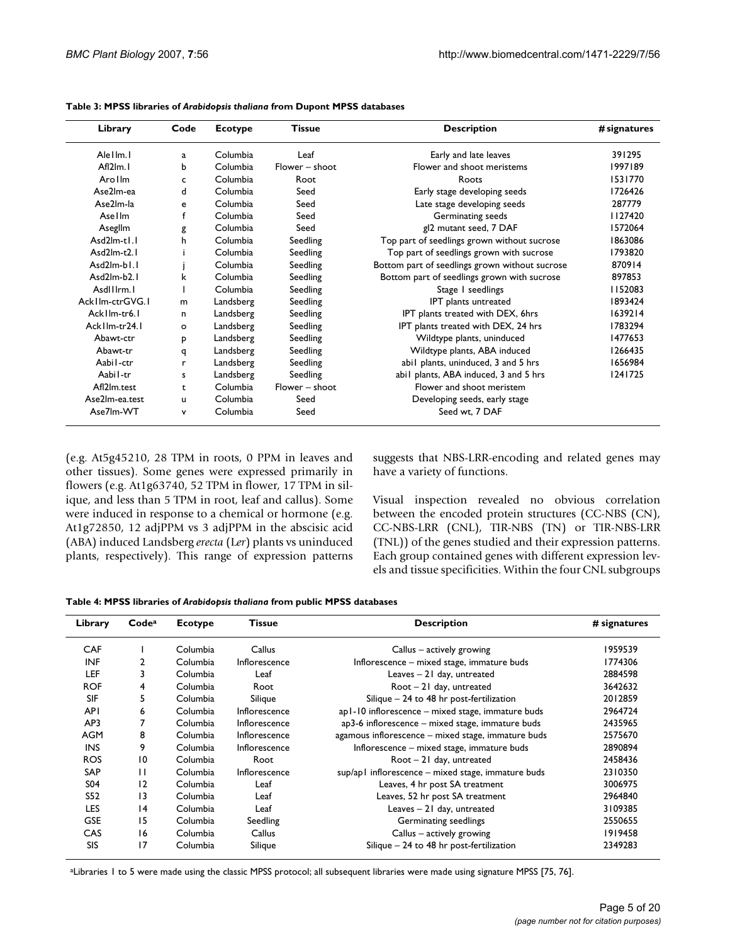| Library            | Code         | <b>Ecotype</b> | <b>Tissue</b>    | <b>Description</b>                             | # signatures |
|--------------------|--------------|----------------|------------------|------------------------------------------------|--------------|
| Alellm.            | $\mathbf{a}$ | Columbia       | Leaf             | Early and late leaves                          | 391295       |
| Afl2lm.            | b            | Columbia       | $Flower - shoot$ | <b>Elower and shoot meristems</b>              | 1997189      |
| Arollm             | c            | Columbia       | Root             | Roots                                          | 1531770      |
| Ase2lm-ea          | <sub>d</sub> | Columbia       | Seed             | Early stage developing seeds                   | 1726426      |
| Ase2lm-la          | e            | Columbia       | Seed             | Late stage developing seeds                    | 287779       |
| Asellm             | f            | Columbia       | Seed             | Germinating seeds                              | 1127420      |
| Aseglim            | g            | Columbia       | Seed             | gl2 mutant seed, 7 DAF                         | 1572064      |
| $Asd2lm-tL$        | h            | Columbia       | Seedling         | Top part of seedlings grown without sucrose    | 1863086      |
| $Asd2lm-t2.1$      |              | Columbia       | Seedling         | Top part of seedlings grown with sucrose       | 1793820      |
| Asd2lm-b1.1        |              | Columbia       | Seedling         | Bottom part of seedlings grown without sucrose | 870914       |
| $Asd2lm-b2.1$      | k            | Columbia       | Seedling         | Bottom part of seedlings grown with sucrose    | 897853       |
| AsdIIIrm.          |              | Columbia       | Seedling         | Stage I seedlings                              | 1152083      |
| Ack I Im-ctrGVG. I | m            | Landsberg      | Seedling         | IPT plants untreated                           | 1893424      |
| Ack I lm-tr6.1     | n.           | Landsberg      | Seedling         | IPT plants treated with DEX, 6hrs              | 1639214      |
| Ack I lm-tr24.1    | $\circ$      | Landsberg      | Seedling         | IPT plants treated with DEX, 24 hrs            | 1783294      |
| Abawt-ctr          | p            | Landsberg      | Seedling         | Wildtype plants, uninduced                     | 1477653      |
| Abawt-tr           | q            | Landsberg      | Seedling         | Wildtype plants, ABA induced                   | 1266435      |
| Aabil-ctr          | r            | Landsberg      | Seedling         | abil plants, uninduced, 3 and 5 hrs            | 1656984      |
| Aabil-tr           | s            | Landsberg      | Seedling         | abil plants, ABA induced, 3 and 5 hrs          | 1241725      |
| Afl2lm.test        | t            | Columbia       | $Flower - shoot$ | Flower and shoot meristem                      |              |
| Ase2lm-ea.test     | u            | Columbia       | Seed             | Developing seeds, early stage                  |              |
| Ase7lm-WT          | v            | Columbia       | Seed             | Seed wt. 7 DAF                                 |              |

| Table 3: MPSS libraries of Arabidopsis thaliana from Dupont MPSS databases |  |
|----------------------------------------------------------------------------|--|
|----------------------------------------------------------------------------|--|

(e.g. At5g45210, 28 TPM in roots, 0 PPM in leaves and other tissues). Some genes were expressed primarily in flowers (e.g. At1g63740, 52 TPM in flower, 17 TPM in silique, and less than 5 TPM in root, leaf and callus). Some were induced in response to a chemical or hormone (e.g. At1g72850, 12 adjPPM vs 3 adjPPM in the abscisic acid (ABA) induced Landsberg *erecta* (L*er*) plants vs uninduced plants, respectively). This range of expression patterns suggests that NBS-LRR-encoding and related genes may have a variety of functions.

Visual inspection revealed no obvious correlation between the encoded protein structures (CC-NBS (CN), CC-NBS-LRR (CNL), TIR-NBS (TN) or TIR-NBS-LRR (TNL)) of the genes studied and their expression patterns. Each group contained genes with different expression levels and tissue specificities. Within the four CNL subgroups

|  |  |  | Table 4: MPSS libraries of Arabidopsis thaliana from public MPSS databases |  |  |  |
|--|--|--|----------------------------------------------------------------------------|--|--|--|
|--|--|--|----------------------------------------------------------------------------|--|--|--|

| Library         | Code <sup>a</sup> | <b>Ecotype</b> | <b>Tissue</b> | <b>Description</b>                                 | # signatures |
|-----------------|-------------------|----------------|---------------|----------------------------------------------------|--------------|
| <b>CAF</b>      |                   | Columbia       | Callus        | Callus $-$ actively growing                        | 1959539      |
| <b>INF</b>      | 2                 | Columbia       | Inflorescence | Inflorescence – mixed stage, immature buds         | 1774306      |
| <b>LEF</b>      | 3                 | Columbia       | Leaf          | Leaves - 21 day, untreated                         | 2884598      |
| <b>ROF</b>      | 4                 | Columbia       | Root          | $Root - 21$ day, untreated                         | 3642632      |
| SIF             | 5                 | Columbia       | Silique       | Silique - 24 to 48 hr post-fertilization           | 2012859      |
| <b>API</b>      | 6                 | Columbia       | Inflorescence | ap1-10 inflorescence - mixed stage, immature buds  | 2964724      |
| AP3             |                   | Columbia       | Inflorescence | ap3-6 inflorescence - mixed stage, immature buds   | 2435965      |
| <b>AGM</b>      | 8                 | Columbia       | Inflorescence | agamous inflorescence - mixed stage, immature buds | 2575670      |
| <b>INS</b>      | 9                 | Columbia       | Inflorescence | Inflorescence – mixed stage, immature buds         | 2890894      |
| <b>ROS</b>      | 10                | Columbia       | Root          | $Root - 21$ day, untreated                         | 2458436      |
| <b>SAP</b>      | $\mathbf{1}$      | Columbia       | Inflorescence | sup/apl inflorescence – mixed stage, immature buds | 2310350      |
| S <sub>04</sub> | 12                | Columbia       | Leaf          | Leaves, 4 hr post SA treatment                     | 3006975      |
| S52             | 13                | Columbia       | Leaf          | Leaves, 52 hr post SA treatment                    | 2964840      |
| <b>LES</b>      | 4                 | Columbia       | Leaf          | Leaves $-21$ day, untreated                        | 3109385      |
| <b>GSE</b>      | 15                | Columbia       | Seedling      | Germinating seedlings                              | 2550655      |
| CAS             | 16                | Columbia       | Callus        | Callus $-$ actively growing                        | 1919458      |
| SIS             | 17                | Columbia       | Silique       | Silique $-24$ to 48 hr post-fertilization          | 2349283      |

aLibraries 1 to 5 were made using the classic MPSS protocol; all subsequent libraries were made using signature MPSS [75, 76].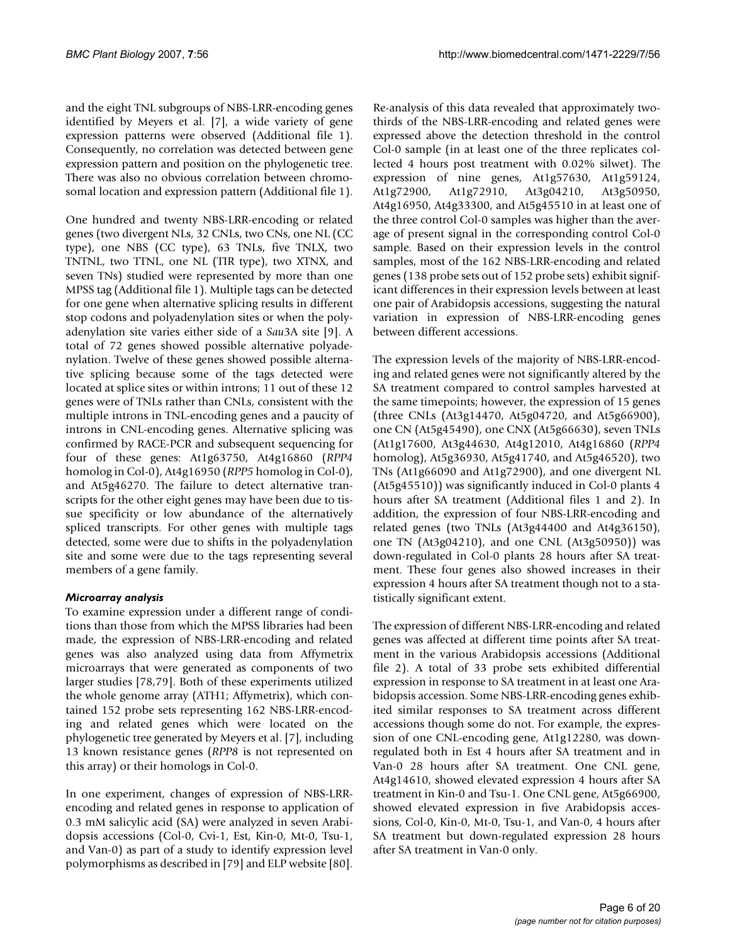and the eight TNL subgroups of NBS-LRR-encoding genes identified by Meyers et al. [7], a wide variety of gene expression patterns were observed (Additional file 1). Consequently, no correlation was detected between gene expression pattern and position on the phylogenetic tree. There was also no obvious correlation between chromosomal location and expression pattern (Additional file 1).

One hundred and twenty NBS-LRR-encoding or related genes (two divergent NLs, 32 CNLs, two CNs, one NL (CC type), one NBS (CC type), 63 TNLs, five TNLX, two TNTNL, two TTNL, one NL (TIR type), two XTNX, and seven TNs) studied were represented by more than one MPSS tag (Additional file 1). Multiple tags can be detected for one gene when alternative splicing results in different stop codons and polyadenylation sites or when the polyadenylation site varies either side of a *Sau*3A site [9]. A total of 72 genes showed possible alternative polyadenylation. Twelve of these genes showed possible alternative splicing because some of the tags detected were located at splice sites or within introns; 11 out of these 12 genes were of TNLs rather than CNLs, consistent with the multiple introns in TNL-encoding genes and a paucity of introns in CNL-encoding genes. Alternative splicing was confirmed by RACE-PCR and subsequent sequencing for four of these genes: At1g63750, At4g16860 (*RPP4* homolog in Col-0), At4g16950 (*RPP5* homolog in Col-0), and At5g46270. The failure to detect alternative transcripts for the other eight genes may have been due to tissue specificity or low abundance of the alternatively spliced transcripts. For other genes with multiple tags detected, some were due to shifts in the polyadenylation site and some were due to the tags representing several members of a gene family.

#### *Microarray analysis*

To examine expression under a different range of conditions than those from which the MPSS libraries had been made, the expression of NBS-LRR-encoding and related genes was also analyzed using data from Affymetrix microarrays that were generated as components of two larger studies [78,79]. Both of these experiments utilized the whole genome array (ATH1; Affymetrix), which contained 152 probe sets representing 162 NBS-LRR-encoding and related genes which were located on the phylogenetic tree generated by Meyers et al. [7], including 13 known resistance genes (*RPP8* is not represented on this array) or their homologs in Col-0.

In one experiment, changes of expression of NBS-LRRencoding and related genes in response to application of 0.3 mM salicylic acid (SA) were analyzed in seven Arabidopsis accessions (Col-0, Cvi-1, Est, Kin-0, Mt-0, Tsu-1, and Van-0) as part of a study to identify expression level polymorphisms as described in [79] and ELP website [80].

Re-analysis of this data revealed that approximately twothirds of the NBS-LRR-encoding and related genes were expressed above the detection threshold in the control Col-0 sample (in at least one of the three replicates collected 4 hours post treatment with 0.02% silwet). The expression of nine genes, At1g57630, At1g59124, At1g72900, At1g72910, At3g04210, At3g50950, At4g16950, At4g33300, and At5g45510 in at least one of the three control Col-0 samples was higher than the average of present signal in the corresponding control Col-0 sample. Based on their expression levels in the control samples, most of the 162 NBS-LRR-encoding and related genes (138 probe sets out of 152 probe sets) exhibit significant differences in their expression levels between at least one pair of Arabidopsis accessions, suggesting the natural variation in expression of NBS-LRR-encoding genes between different accessions.

The expression levels of the majority of NBS-LRR-encoding and related genes were not significantly altered by the SA treatment compared to control samples harvested at the same timepoints; however, the expression of 15 genes (three CNLs (At3g14470, At5g04720, and At5g66900), one CN (At5g45490), one CNX (At5g66630), seven TNLs (At1g17600, At3g44630, At4g12010, At4g16860 (*RPP4* homolog), At5g36930, At5g41740, and At5g46520), two TNs (At1g66090 and At1g72900), and one divergent NL (At5g45510)) was significantly induced in Col-0 plants 4 hours after SA treatment (Additional files 1 and 2). In addition, the expression of four NBS-LRR-encoding and related genes (two TNLs (At3g44400 and At4g36150), one TN (At3g04210), and one CNL (At3g50950)) was down-regulated in Col-0 plants 28 hours after SA treatment. These four genes also showed increases in their expression 4 hours after SA treatment though not to a statistically significant extent.

The expression of different NBS-LRR-encoding and related genes was affected at different time points after SA treatment in the various Arabidopsis accessions (Additional file 2). A total of 33 probe sets exhibited differential expression in response to SA treatment in at least one Arabidopsis accession. Some NBS-LRR-encoding genes exhibited similar responses to SA treatment across different accessions though some do not. For example, the expression of one CNL-encoding gene, At1g12280, was downregulated both in Est 4 hours after SA treatment and in Van-0 28 hours after SA treatment. One CNL gene, At4g14610, showed elevated expression 4 hours after SA treatment in Kin-0 and Tsu-1. One CNL gene, At5g66900, showed elevated expression in five Arabidopsis accessions, Col-0, Kin-0, Mt-0, Tsu-1, and Van-0, 4 hours after SA treatment but down-regulated expression 28 hours after SA treatment in Van-0 only.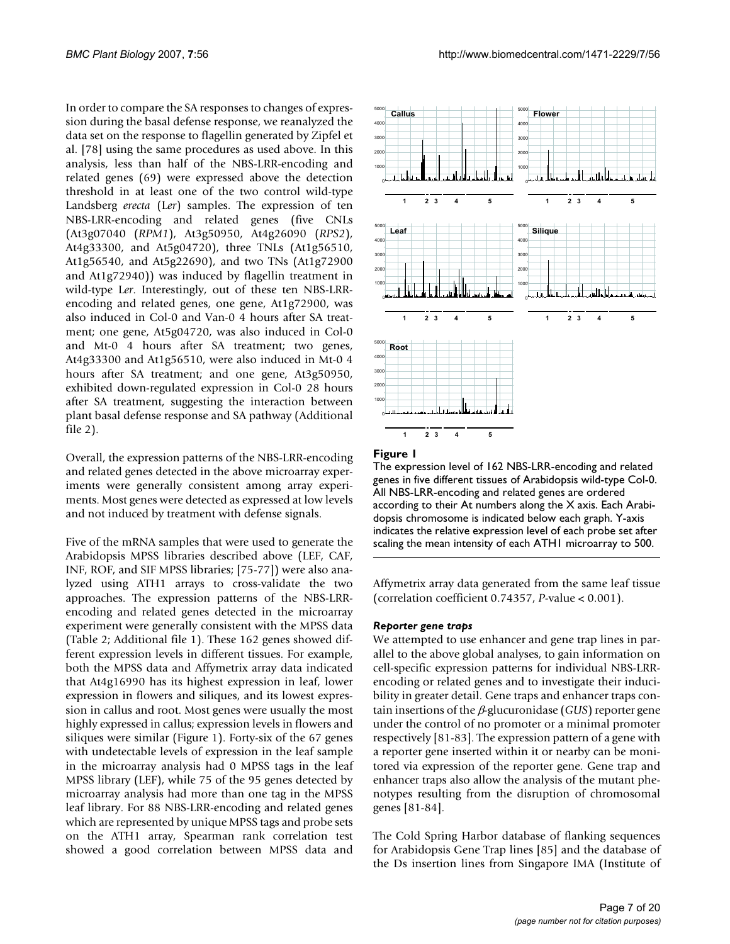In order to compare the SA responses to changes of expression during the basal defense response, we reanalyzed the data set on the response to flagellin generated by Zipfel et al. [78] using the same procedures as used above. In this analysis, less than half of the NBS-LRR-encoding and related genes (69) were expressed above the detection threshold in at least one of the two control wild-type Landsberg *erecta* (L*er*) samples. The expression of ten NBS-LRR-encoding and related genes (five CNLs (At3g07040 (*RPM1*), At3g50950, At4g26090 (*RPS2*), At4g33300, and At5g04720), three TNLs (At1g56510, At1g56540, and At5g22690), and two TNs (At1g72900 and At1g72940)) was induced by flagellin treatment in wild-type L*er*. Interestingly, out of these ten NBS-LRRencoding and related genes, one gene, At1g72900, was also induced in Col-0 and Van-0 4 hours after SA treatment; one gene, At5g04720, was also induced in Col-0 and Mt-0 4 hours after SA treatment; two genes, At4g33300 and At1g56510, were also induced in Mt-0 4 hours after SA treatment; and one gene, At3g50950, exhibited down-regulated expression in Col-0 28 hours after SA treatment, suggesting the interaction between plant basal defense response and SA pathway (Additional file 2).

Overall, the expression patterns of the NBS-LRR-encoding and related genes detected in the above microarray experiments were generally consistent among array experiments. Most genes were detected as expressed at low levels and not induced by treatment with defense signals.

Five of the mRNA samples that were used to generate the Arabidopsis MPSS libraries described above (LEF, CAF, INF, ROF, and SIF MPSS libraries; [75-77]) were also analyzed using ATH1 arrays to cross-validate the two approaches. The expression patterns of the NBS-LRRencoding and related genes detected in the microarray experiment were generally consistent with the MPSS data (Table 2; Additional file 1). These 162 genes showed different expression levels in different tissues. For example, both the MPSS data and Affymetrix array data indicated that At4g16990 has its highest expression in leaf, lower expression in flowers and siliques, and its lowest expression in callus and root. Most genes were usually the most highly expressed in callus; expression levels in flowers and siliques were similar (Figure 1). Forty-six of the 67 genes with undetectable levels of expression in the leaf sample in the microarray analysis had 0 MPSS tags in the leaf MPSS library (LEF), while 75 of the 95 genes detected by microarray analysis had more than one tag in the MPSS leaf library. For 88 NBS-LRR-encoding and related genes which are represented by unique MPSS tags and probe sets on the ATH1 array, Spearman rank correlation test showed a good correlation between MPSS data and



#### Figure I

The expression level of 162 NBS-LRR-encoding and related genes in five different tissues of Arabidopsis wild-type Col-0. All NBS-LRR-encoding and related genes are ordered according to their At numbers along the X axis. Each Arabidopsis chromosome is indicated below each graph. Y-axis indicates the relative expression level of each probe set after scaling the mean intensity of each ATH1 microarray to 500.

Affymetrix array data generated from the same leaf tissue (correlation coefficient 0.74357, *P*-value < 0.001).

#### *Reporter gene traps*

We attempted to use enhancer and gene trap lines in parallel to the above global analyses, to gain information on cell-specific expression patterns for individual NBS-LRRencoding or related genes and to investigate their inducibility in greater detail. Gene traps and enhancer traps contain insertions of the β-glucuronidase (*GUS*) reporter gene under the control of no promoter or a minimal promoter respectively [81-83]. The expression pattern of a gene with a reporter gene inserted within it or nearby can be monitored via expression of the reporter gene. Gene trap and enhancer traps also allow the analysis of the mutant phenotypes resulting from the disruption of chromosomal genes [81-84].

The Cold Spring Harbor database of flanking sequences for Arabidopsis Gene Trap lines [85] and the database of the Ds insertion lines from Singapore IMA (Institute of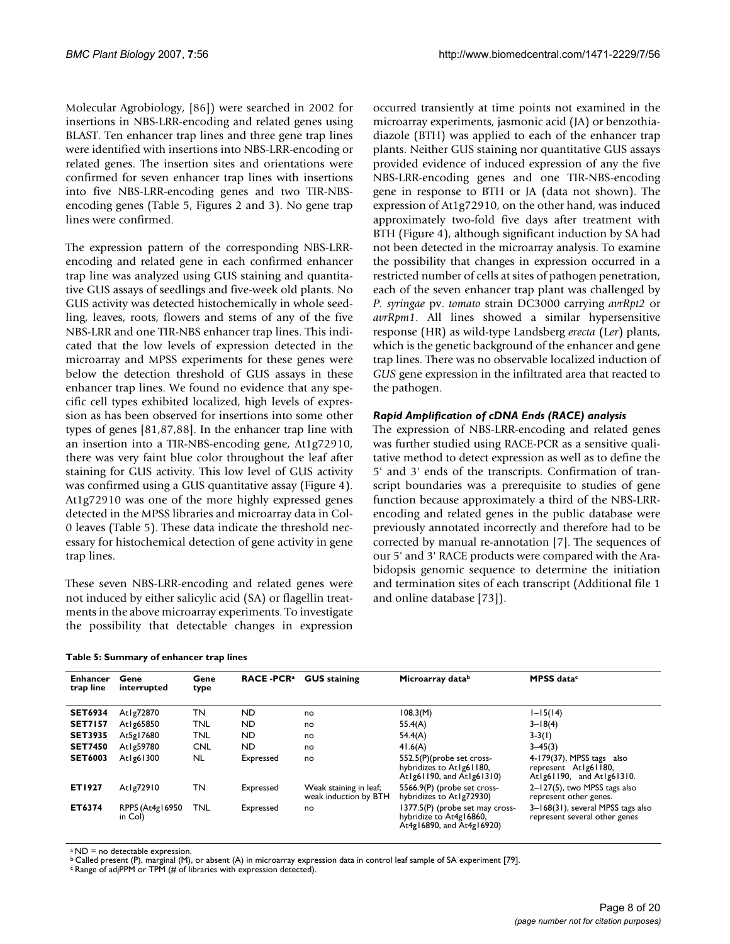Molecular Agrobiology, [86]) were searched in 2002 for insertions in NBS-LRR-encoding and related genes using BLAST. Ten enhancer trap lines and three gene trap lines were identified with insertions into NBS-LRR-encoding or related genes. The insertion sites and orientations were confirmed for seven enhancer trap lines with insertions into five NBS-LRR-encoding genes and two TIR-NBSencoding genes (Table 5, Figures 2 and 3). No gene trap lines were confirmed.

The expression pattern of the corresponding NBS-LRRencoding and related gene in each confirmed enhancer trap line was analyzed using GUS staining and quantitative GUS assays of seedlings and five-week old plants. No GUS activity was detected histochemically in whole seedling, leaves, roots, flowers and stems of any of the five NBS-LRR and one TIR-NBS enhancer trap lines. This indicated that the low levels of expression detected in the microarray and MPSS experiments for these genes were below the detection threshold of GUS assays in these enhancer trap lines. We found no evidence that any specific cell types exhibited localized, high levels of expression as has been observed for insertions into some other types of genes [81,87,88]. In the enhancer trap line with an insertion into a TIR-NBS-encoding gene, At1g72910, there was very faint blue color throughout the leaf after staining for GUS activity. This low level of GUS activity was confirmed using a GUS quantitative assay (Figure 4). At1g72910 was one of the more highly expressed genes detected in the MPSS libraries and microarray data in Col-0 leaves (Table 5). These data indicate the threshold necessary for histochemical detection of gene activity in gene trap lines.

These seven NBS-LRR-encoding and related genes were not induced by either salicylic acid (SA) or flagellin treatments in the above microarray experiments. To investigate the possibility that detectable changes in expression

occurred transiently at time points not examined in the microarray experiments, jasmonic acid (JA) or benzothiadiazole (BTH) was applied to each of the enhancer trap plants. Neither GUS staining nor quantitative GUS assays provided evidence of induced expression of any the five NBS-LRR-encoding genes and one TIR-NBS-encoding gene in response to BTH or JA (data not shown). The expression of At1g72910, on the other hand, was induced approximately two-fold five days after treatment with BTH (Figure 4), although significant induction by SA had not been detected in the microarray analysis. To examine the possibility that changes in expression occurred in a restricted number of cells at sites of pathogen penetration, each of the seven enhancer trap plant was challenged by *P. syringae* pv. *tomato* strain DC3000 carrying *avrRpt2* or *avrRpm1*. All lines showed a similar hypersensitive response (HR) as wild-type Landsberg *erecta* (L*er*) plants, which is the genetic background of the enhancer and gene trap lines. There was no observable localized induction of *GUS* gene expression in the infiltrated area that reacted to the pathogen.

#### *Rapid Amplification of cDNA Ends (RACE) analysis*

The expression of NBS-LRR-encoding and related genes was further studied using RACE-PCR as a sensitive qualitative method to detect expression as well as to define the 5' and 3' ends of the transcripts. Confirmation of transcript boundaries was a prerequisite to studies of gene function because approximately a third of the NBS-LRRencoding and related genes in the public database were previously annotated incorrectly and therefore had to be corrected by manual re-annotation [7]. The sequences of our 5' and 3' RACE products were compared with the Arabidopsis genomic sequence to determine the initiation and termination sites of each transcript (Additional file 1 and online database [73]).

|  |  | Table 5: Summary of enhancer trap lines |  |
|--|--|-----------------------------------------|--|
|  |  |                                         |  |

| <b>Enhancer</b><br>trap line | Gene<br>interrupted        | Gene<br>type | <b>RACE -PCR<sup>a</sup></b> | <b>GUS staining</b>                             | Microarray datab                                                                        | MPSS data <sup>c</sup>                                                         |
|------------------------------|----------------------------|--------------|------------------------------|-------------------------------------------------|-----------------------------------------------------------------------------------------|--------------------------------------------------------------------------------|
| <b>SET6934</b>               | Atlg72870                  | ΤN           | ND.                          | no                                              | 108.3(M)                                                                                | $I-I5(14)$                                                                     |
| <b>SET7157</b>               | At1g65850                  | TNL          | ND.                          | no                                              | 55.4(A)                                                                                 | $3 - 18(4)$                                                                    |
| <b>SET3935</b>               | At5g17680                  | TNL          | ND.                          | no                                              | 54.4(A)                                                                                 | $3-3(1)$                                                                       |
| <b>SET7450</b>               | At1g59780                  | <b>CNL</b>   | ND.                          | no                                              | 41.6(A)                                                                                 | $3 - 45(3)$                                                                    |
| <b>SET6003</b>               | At1g61300                  | NL.          | Expressed                    | no                                              | 552.5(P)(probe set cross-<br>hybridizes to Atlg61180,<br>Atlg61190, and Atlg61310)      | 4-179(37), MPSS tags also<br>represent Atlg61180,<br>Atlg61190, and Atlg61310. |
| ET1927                       | Atlg72910                  | ΤN           | Expressed                    | Weak staining in leaf;<br>weak induction by BTH | 5566.9(P) (probe set cross-<br>hybridizes to At1g72930)                                 | $2 - 127(5)$ , two MPSS tags also<br>represent other genes.                    |
| ET6374                       | RPP5 (At4g16950<br>in Col) | TNL          | Expressed                    | no                                              | 1377.5(P) (probe set may cross-<br>hybridize to At4g16860,<br>At4g16890, and At4g16920) | 3-168(31), several MPSS tags also<br>represent several other genes             |

a ND = no detectable expression.

 $\frac{b}{c}$  Called present (P), marginal (M), or absent (A) in microarray expression data in control leaf sample of SA experiment [79].<br>  $\frac{c}{c}$  Range of adjPPM or TPM (# of libraries with expression detected).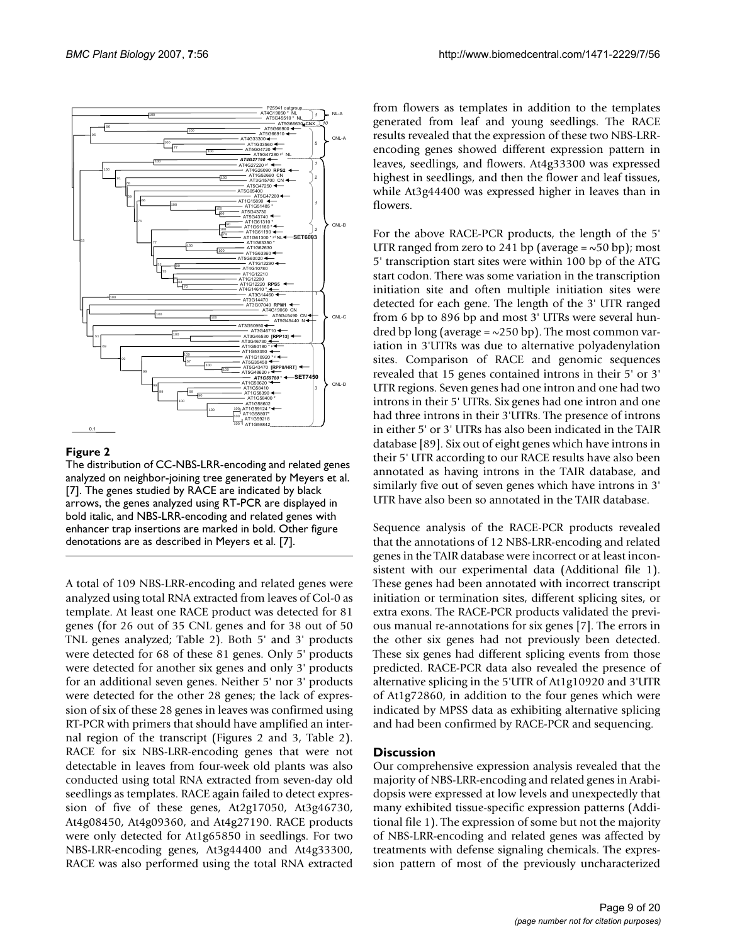

#### Figure 2

The distribution of CC-NBS-LRR-encoding and related genes analyzed on neighbor-joining tree generated by Meyers et al. [7]. The genes studied by RACE are indicated by black arrows, the genes analyzed using RT-PCR are displayed in bold italic, and NBS-LRR-encoding and related genes with enhancer trap insertions are marked in bold. Other figure denotations are as described in Meyers et al. [7].

A total of 109 NBS-LRR-encoding and related genes were analyzed using total RNA extracted from leaves of Col-0 as template. At least one RACE product was detected for 81 genes (for 26 out of 35 CNL genes and for 38 out of 50 TNL genes analyzed; Table 2). Both 5' and 3' products were detected for 68 of these 81 genes. Only 5' products were detected for another six genes and only 3' products for an additional seven genes. Neither 5' nor 3' products were detected for the other 28 genes; the lack of expression of six of these 28 genes in leaves was confirmed using RT-PCR with primers that should have amplified an internal region of the transcript (Figures 2 and 3, Table 2). RACE for six NBS-LRR-encoding genes that were not detectable in leaves from four-week old plants was also conducted using total RNA extracted from seven-day old seedlings as templates. RACE again failed to detect expression of five of these genes, At2g17050, At3g46730, At4g08450, At4g09360, and At4g27190. RACE products were only detected for At1g65850 in seedlings. For two NBS-LRR-encoding genes, At3g44400 and At4g33300, RACE was also performed using the total RNA extracted

from flowers as templates in addition to the templates generated from leaf and young seedlings. The RACE results revealed that the expression of these two NBS-LRRencoding genes showed different expression pattern in leaves, seedlings, and flowers. At4g33300 was expressed highest in seedlings, and then the flower and leaf tissues, while At3g44400 was expressed higher in leaves than in flowers.

For the above RACE-PCR products, the length of the 5' UTR ranged from zero to 241 bp (average  $=\infty$ 50 bp); most 5' transcription start sites were within 100 bp of the ATG start codon. There was some variation in the transcription initiation site and often multiple initiation sites were detected for each gene. The length of the 3' UTR ranged from 6 bp to 896 bp and most 3' UTRs were several hundred bp long (average =  $\sim$ 250 bp). The most common variation in 3'UTRs was due to alternative polyadenylation sites. Comparison of RACE and genomic sequences revealed that 15 genes contained introns in their 5' or 3' UTR regions. Seven genes had one intron and one had two introns in their 5' UTRs. Six genes had one intron and one had three introns in their 3'UTRs. The presence of introns in either 5' or 3' UTRs has also been indicated in the TAIR database [89]. Six out of eight genes which have introns in their 5' UTR according to our RACE results have also been annotated as having introns in the TAIR database, and similarly five out of seven genes which have introns in 3' UTR have also been so annotated in the TAIR database.

Sequence analysis of the RACE-PCR products revealed that the annotations of 12 NBS-LRR-encoding and related genes in the TAIR database were incorrect or at least inconsistent with our experimental data (Additional file 1). These genes had been annotated with incorrect transcript initiation or termination sites, different splicing sites, or extra exons. The RACE-PCR products validated the previous manual re-annotations for six genes [7]. The errors in the other six genes had not previously been detected. These six genes had different splicing events from those predicted. RACE-PCR data also revealed the presence of alternative splicing in the 5'UTR of At1g10920 and 3'UTR of At1g72860, in addition to the four genes which were indicated by MPSS data as exhibiting alternative splicing and had been confirmed by RACE-PCR and sequencing.

#### **Discussion**

Our comprehensive expression analysis revealed that the majority of NBS-LRR-encoding and related genes in Arabidopsis were expressed at low levels and unexpectedly that many exhibited tissue-specific expression patterns (Additional file 1). The expression of some but not the majority of NBS-LRR-encoding and related genes was affected by treatments with defense signaling chemicals. The expression pattern of most of the previously uncharacterized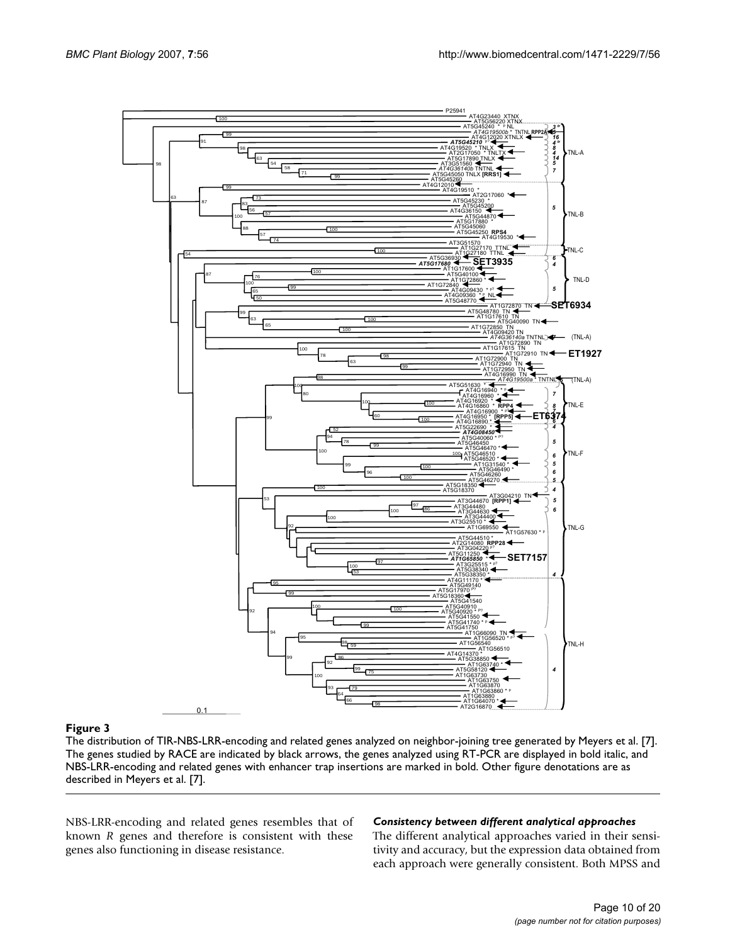

The distribution of TIR-NBS-LRR-encoding and related genes analyzed on neighbor-joining tree generated by Meyers et al. [7]. The genes studied by RACE are indicated by black arrows, the genes analyzed using RT-PCR are displayed in bold italic, and NBS-LRR-encoding and related genes with enhancer trap insertions are marked in bold. Other figure denotations are as described in Meyers et al. [7].

NBS-LRR-encoding and related genes resembles that of known *R* genes and therefore is consistent with these genes also functioning in disease resistance.

#### *Consistency between different analytical approaches*

The different analytical approaches varied in their sensitivity and accuracy, but the expression data obtained from each approach were generally consistent. Both MPSS and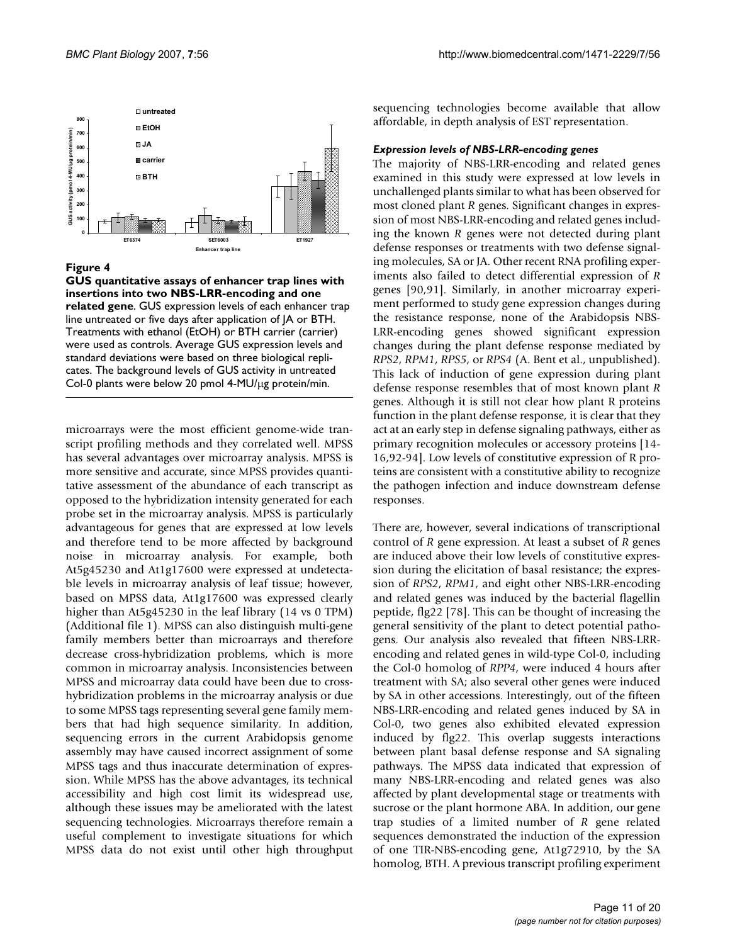

#### Figure 4

**GUS quantitative assays of enhancer trap lines with insertions into two NBS-LRR-encoding and one related gene**. GUS expression levels of each enhancer trap line untreated or five days after application of JA or BTH. Treatments with ethanol (EtOH) or BTH carrier (carrier) were used as controls. Average GUS expression levels and standard deviations were based on three biological replicates. The background levels of GUS activity in untreated Col-0 plants were below 20 pmol 4-MU/μg protein/min.

microarrays were the most efficient genome-wide transcript profiling methods and they correlated well. MPSS has several advantages over microarray analysis. MPSS is more sensitive and accurate, since MPSS provides quantitative assessment of the abundance of each transcript as opposed to the hybridization intensity generated for each probe set in the microarray analysis. MPSS is particularly advantageous for genes that are expressed at low levels and therefore tend to be more affected by background noise in microarray analysis. For example, both At5g45230 and At1g17600 were expressed at undetectable levels in microarray analysis of leaf tissue; however, based on MPSS data, At1g17600 was expressed clearly higher than At5g45230 in the leaf library (14 vs 0 TPM) (Additional file 1). MPSS can also distinguish multi-gene family members better than microarrays and therefore decrease cross-hybridization problems, which is more common in microarray analysis. Inconsistencies between MPSS and microarray data could have been due to crosshybridization problems in the microarray analysis or due to some MPSS tags representing several gene family members that had high sequence similarity. In addition, sequencing errors in the current Arabidopsis genome assembly may have caused incorrect assignment of some MPSS tags and thus inaccurate determination of expression. While MPSS has the above advantages, its technical accessibility and high cost limit its widespread use, although these issues may be ameliorated with the latest sequencing technologies. Microarrays therefore remain a useful complement to investigate situations for which MPSS data do not exist until other high throughput sequencing technologies become available that allow affordable, in depth analysis of EST representation.

#### *Expression levels of NBS-LRR-encoding genes*

The majority of NBS-LRR-encoding and related genes examined in this study were expressed at low levels in unchallenged plants similar to what has been observed for most cloned plant *R* genes. Significant changes in expression of most NBS-LRR-encoding and related genes including the known *R* genes were not detected during plant defense responses or treatments with two defense signaling molecules, SA or JA. Other recent RNA profiling experiments also failed to detect differential expression of *R* genes [90,91]. Similarly, in another microarray experiment performed to study gene expression changes during the resistance response, none of the Arabidopsis NBS-LRR-encoding genes showed significant expression changes during the plant defense response mediated by *RPS2*, *RPM1*, *RPS5*, or *RPS4* (A. Bent et al., unpublished). This lack of induction of gene expression during plant defense response resembles that of most known plant *R* genes. Although it is still not clear how plant R proteins function in the plant defense response, it is clear that they act at an early step in defense signaling pathways, either as primary recognition molecules or accessory proteins [14- 16,92-94]. Low levels of constitutive expression of R proteins are consistent with a constitutive ability to recognize the pathogen infection and induce downstream defense responses.

There are, however, several indications of transcriptional control of *R* gene expression. At least a subset of *R* genes are induced above their low levels of constitutive expression during the elicitation of basal resistance; the expression of *RPS2*, *RPM1*, and eight other NBS-LRR-encoding and related genes was induced by the bacterial flagellin peptide, flg22 [78]. This can be thought of increasing the general sensitivity of the plant to detect potential pathogens. Our analysis also revealed that fifteen NBS-LRRencoding and related genes in wild-type Col-0, including the Col-0 homolog of *RPP4*, were induced 4 hours after treatment with SA; also several other genes were induced by SA in other accessions. Interestingly, out of the fifteen NBS-LRR-encoding and related genes induced by SA in Col-0, two genes also exhibited elevated expression induced by flg22. This overlap suggests interactions between plant basal defense response and SA signaling pathways. The MPSS data indicated that expression of many NBS-LRR-encoding and related genes was also affected by plant developmental stage or treatments with sucrose or the plant hormone ABA. In addition, our gene trap studies of a limited number of *R* gene related sequences demonstrated the induction of the expression of one TIR-NBS-encoding gene, At1g72910, by the SA homolog, BTH. A previous transcript profiling experiment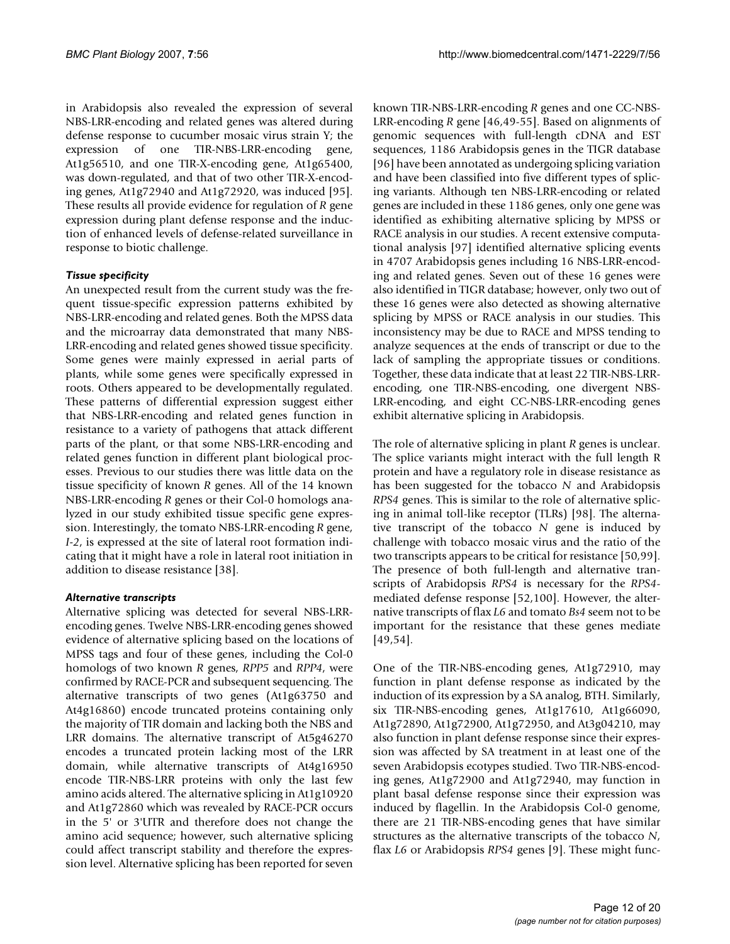in Arabidopsis also revealed the expression of several NBS-LRR-encoding and related genes was altered during defense response to cucumber mosaic virus strain Y; the expression of one TIR-NBS-LRR-encoding gene, At1g56510, and one TIR-X-encoding gene, At1g65400, was down-regulated, and that of two other TIR-X-encoding genes, At1g72940 and At1g72920, was induced [95]. These results all provide evidence for regulation of *R* gene expression during plant defense response and the induction of enhanced levels of defense-related surveillance in response to biotic challenge.

#### *Tissue specificity*

An unexpected result from the current study was the frequent tissue-specific expression patterns exhibited by NBS-LRR-encoding and related genes. Both the MPSS data and the microarray data demonstrated that many NBS-LRR-encoding and related genes showed tissue specificity. Some genes were mainly expressed in aerial parts of plants, while some genes were specifically expressed in roots. Others appeared to be developmentally regulated. These patterns of differential expression suggest either that NBS-LRR-encoding and related genes function in resistance to a variety of pathogens that attack different parts of the plant, or that some NBS-LRR-encoding and related genes function in different plant biological processes. Previous to our studies there was little data on the tissue specificity of known *R* genes. All of the 14 known NBS-LRR-encoding *R* genes or their Col-0 homologs analyzed in our study exhibited tissue specific gene expression. Interestingly, the tomato NBS-LRR-encoding *R* gene, *I-2*, is expressed at the site of lateral root formation indicating that it might have a role in lateral root initiation in addition to disease resistance [38].

#### *Alternative transcripts*

Alternative splicing was detected for several NBS-LRRencoding genes. Twelve NBS-LRR-encoding genes showed evidence of alternative splicing based on the locations of MPSS tags and four of these genes, including the Col-0 homologs of two known *R* genes, *RPP5* and *RPP4*, were confirmed by RACE-PCR and subsequent sequencing. The alternative transcripts of two genes (At1g63750 and At4g16860) encode truncated proteins containing only the majority of TIR domain and lacking both the NBS and LRR domains. The alternative transcript of At5g46270 encodes a truncated protein lacking most of the LRR domain, while alternative transcripts of At4g16950 encode TIR-NBS-LRR proteins with only the last few amino acids altered. The alternative splicing in At1g10920 and At1g72860 which was revealed by RACE-PCR occurs in the 5' or 3'UTR and therefore does not change the amino acid sequence; however, such alternative splicing could affect transcript stability and therefore the expression level. Alternative splicing has been reported for seven known TIR-NBS-LRR-encoding *R* genes and one CC-NBS-LRR-encoding *R* gene [46,49-55]. Based on alignments of genomic sequences with full-length cDNA and EST sequences, 1186 Arabidopsis genes in the TIGR database [96] have been annotated as undergoing splicing variation and have been classified into five different types of splicing variants. Although ten NBS-LRR-encoding or related genes are included in these 1186 genes, only one gene was identified as exhibiting alternative splicing by MPSS or RACE analysis in our studies. A recent extensive computational analysis [97] identified alternative splicing events in 4707 Arabidopsis genes including 16 NBS-LRR-encoding and related genes. Seven out of these 16 genes were also identified in TIGR database; however, only two out of these 16 genes were also detected as showing alternative splicing by MPSS or RACE analysis in our studies. This inconsistency may be due to RACE and MPSS tending to analyze sequences at the ends of transcript or due to the lack of sampling the appropriate tissues or conditions. Together, these data indicate that at least 22 TIR-NBS-LRRencoding, one TIR-NBS-encoding, one divergent NBS-LRR-encoding, and eight CC-NBS-LRR-encoding genes exhibit alternative splicing in Arabidopsis.

The role of alternative splicing in plant *R* genes is unclear. The splice variants might interact with the full length R protein and have a regulatory role in disease resistance as has been suggested for the tobacco *N* and Arabidopsis *RPS4* genes. This is similar to the role of alternative splicing in animal toll-like receptor (TLRs) [98]. The alternative transcript of the tobacco *N* gene is induced by challenge with tobacco mosaic virus and the ratio of the two transcripts appears to be critical for resistance [50,99]. The presence of both full-length and alternative transcripts of Arabidopsis *RPS4* is necessary for the *RPS4* mediated defense response [52,100]. However, the alternative transcripts of flax *L6* and tomato *Bs4* seem not to be important for the resistance that these genes mediate [49,54].

One of the TIR-NBS-encoding genes, At1g72910, may function in plant defense response as indicated by the induction of its expression by a SA analog, BTH. Similarly, six TIR-NBS-encoding genes, At1g17610, At1g66090, At1g72890, At1g72900, At1g72950, and At3g04210, may also function in plant defense response since their expression was affected by SA treatment in at least one of the seven Arabidopsis ecotypes studied. Two TIR-NBS-encoding genes, At1g72900 and At1g72940, may function in plant basal defense response since their expression was induced by flagellin. In the Arabidopsis Col-0 genome, there are 21 TIR-NBS-encoding genes that have similar structures as the alternative transcripts of the tobacco *N*, flax *L6* or Arabidopsis *RPS4* genes [9]. These might func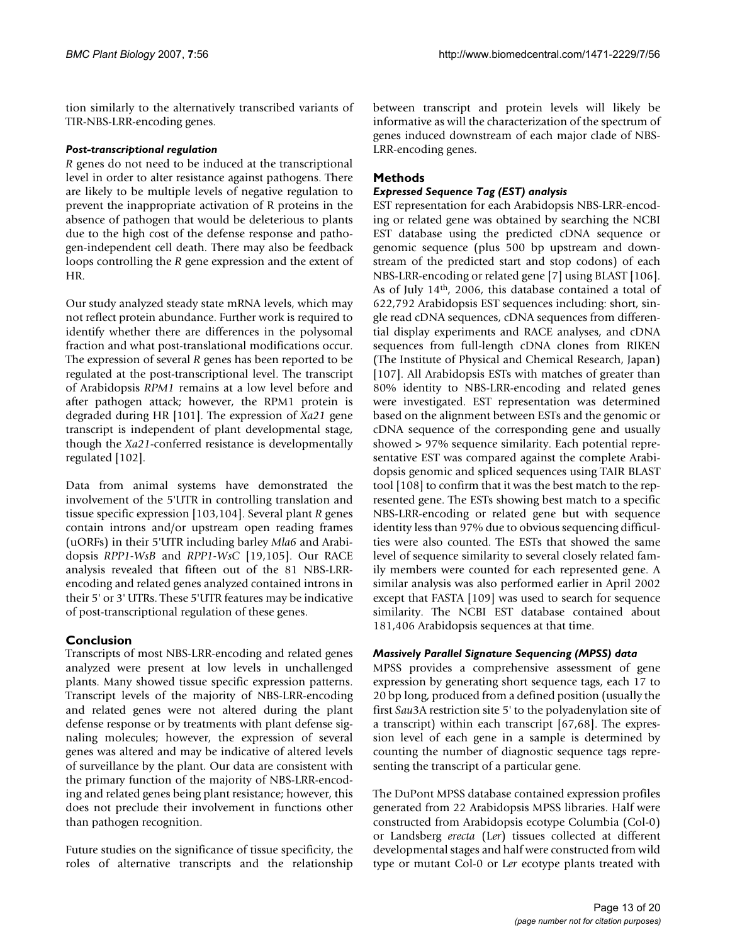tion similarly to the alternatively transcribed variants of TIR-NBS-LRR-encoding genes.

#### *Post-transcriptional regulation*

*R* genes do not need to be induced at the transcriptional level in order to alter resistance against pathogens. There are likely to be multiple levels of negative regulation to prevent the inappropriate activation of R proteins in the absence of pathogen that would be deleterious to plants due to the high cost of the defense response and pathogen-independent cell death. There may also be feedback loops controlling the *R* gene expression and the extent of HR.

Our study analyzed steady state mRNA levels, which may not reflect protein abundance. Further work is required to identify whether there are differences in the polysomal fraction and what post-translational modifications occur. The expression of several *R* genes has been reported to be regulated at the post-transcriptional level. The transcript of Arabidopsis *RPM1* remains at a low level before and after pathogen attack; however, the RPM1 protein is degraded during HR [101]. The expression of *Xa21* gene transcript is independent of plant developmental stage, though the *Xa21*-conferred resistance is developmentally regulated [102].

Data from animal systems have demonstrated the involvement of the 5'UTR in controlling translation and tissue specific expression [103,104]. Several plant *R* genes contain introns and/or upstream open reading frames (uORFs) in their 5'UTR including barley *Mla6* and Arabidopsis *RPP1-WsB* and *RPP1-WsC* [19,105]. Our RACE analysis revealed that fifteen out of the 81 NBS-LRRencoding and related genes analyzed contained introns in their 5' or 3' UTRs. These 5'UTR features may be indicative of post-transcriptional regulation of these genes.

### **Conclusion**

Transcripts of most NBS-LRR-encoding and related genes analyzed were present at low levels in unchallenged plants. Many showed tissue specific expression patterns. Transcript levels of the majority of NBS-LRR-encoding and related genes were not altered during the plant defense response or by treatments with plant defense signaling molecules; however, the expression of several genes was altered and may be indicative of altered levels of surveillance by the plant. Our data are consistent with the primary function of the majority of NBS-LRR-encoding and related genes being plant resistance; however, this does not preclude their involvement in functions other than pathogen recognition.

Future studies on the significance of tissue specificity, the roles of alternative transcripts and the relationship between transcript and protein levels will likely be informative as will the characterization of the spectrum of genes induced downstream of each major clade of NBS-LRR-encoding genes.

#### **Methods**

#### *Expressed Sequence Tag (EST) analysis*

EST representation for each Arabidopsis NBS-LRR-encoding or related gene was obtained by searching the NCBI EST database using the predicted cDNA sequence or genomic sequence (plus 500 bp upstream and downstream of the predicted start and stop codons) of each NBS-LRR-encoding or related gene [7] using BLAST [106]. As of July 14th, 2006, this database contained a total of 622,792 Arabidopsis EST sequences including: short, single read cDNA sequences, cDNA sequences from differential display experiments and RACE analyses, and cDNA sequences from full-length cDNA clones from RIKEN (The Institute of Physical and Chemical Research, Japan) [107]. All Arabidopsis ESTs with matches of greater than 80% identity to NBS-LRR-encoding and related genes were investigated. EST representation was determined based on the alignment between ESTs and the genomic or cDNA sequence of the corresponding gene and usually showed > 97% sequence similarity. Each potential representative EST was compared against the complete Arabidopsis genomic and spliced sequences using TAIR BLAST tool [108] to confirm that it was the best match to the represented gene. The ESTs showing best match to a specific NBS-LRR-encoding or related gene but with sequence identity less than 97% due to obvious sequencing difficulties were also counted. The ESTs that showed the same level of sequence similarity to several closely related family members were counted for each represented gene. A similar analysis was also performed earlier in April 2002 except that FASTA [109] was used to search for sequence similarity. The NCBI EST database contained about 181,406 Arabidopsis sequences at that time.

#### *Massively Parallel Signature Sequencing (MPSS) data*

MPSS provides a comprehensive assessment of gene expression by generating short sequence tags, each 17 to 20 bp long, produced from a defined position (usually the first *Sau*3A restriction site 5' to the polyadenylation site of a transcript) within each transcript [67,68]. The expression level of each gene in a sample is determined by counting the number of diagnostic sequence tags representing the transcript of a particular gene.

The DuPont MPSS database contained expression profiles generated from 22 Arabidopsis MPSS libraries. Half were constructed from Arabidopsis ecotype Columbia (Col-0) or Landsberg *erecta* (L*er*) tissues collected at different developmental stages and half were constructed from wild type or mutant Col-0 or L*er* ecotype plants treated with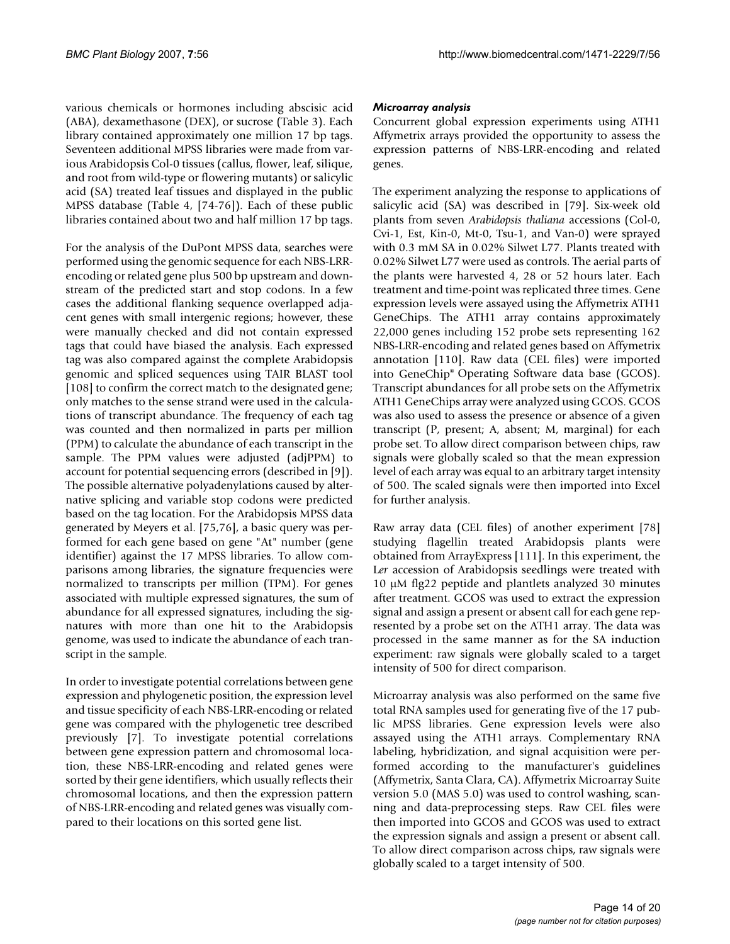various chemicals or hormones including abscisic acid (ABA), dexamethasone (DEX), or sucrose (Table 3). Each library contained approximately one million 17 bp tags. Seventeen additional MPSS libraries were made from various Arabidopsis Col-0 tissues (callus, flower, leaf, silique, and root from wild-type or flowering mutants) or salicylic acid (SA) treated leaf tissues and displayed in the public MPSS database (Table 4, [74-76]). Each of these public libraries contained about two and half million 17 bp tags.

For the analysis of the DuPont MPSS data, searches were performed using the genomic sequence for each NBS-LRRencoding or related gene plus 500 bp upstream and downstream of the predicted start and stop codons. In a few cases the additional flanking sequence overlapped adjacent genes with small intergenic regions; however, these were manually checked and did not contain expressed tags that could have biased the analysis. Each expressed tag was also compared against the complete Arabidopsis genomic and spliced sequences using TAIR BLAST tool [108] to confirm the correct match to the designated gene; only matches to the sense strand were used in the calculations of transcript abundance. The frequency of each tag was counted and then normalized in parts per million (PPM) to calculate the abundance of each transcript in the sample. The PPM values were adjusted (adjPPM) to account for potential sequencing errors (described in [9]). The possible alternative polyadenylations caused by alternative splicing and variable stop codons were predicted based on the tag location. For the Arabidopsis MPSS data generated by Meyers et al. [75,76], a basic query was performed for each gene based on gene "At" number (gene identifier) against the 17 MPSS libraries. To allow comparisons among libraries, the signature frequencies were normalized to transcripts per million (TPM). For genes associated with multiple expressed signatures, the sum of abundance for all expressed signatures, including the signatures with more than one hit to the Arabidopsis genome, was used to indicate the abundance of each transcript in the sample.

In order to investigate potential correlations between gene expression and phylogenetic position, the expression level and tissue specificity of each NBS-LRR-encoding or related gene was compared with the phylogenetic tree described previously [7]. To investigate potential correlations between gene expression pattern and chromosomal location, these NBS-LRR-encoding and related genes were sorted by their gene identifiers, which usually reflects their chromosomal locations, and then the expression pattern of NBS-LRR-encoding and related genes was visually compared to their locations on this sorted gene list.

#### *Microarray analysis*

Concurrent global expression experiments using ATH1 Affymetrix arrays provided the opportunity to assess the expression patterns of NBS-LRR-encoding and related genes.

The experiment analyzing the response to applications of salicylic acid (SA) was described in [79]. Six-week old plants from seven *Arabidopsis thaliana* accessions (Col-0, Cvi-1, Est, Kin-0, Mt-0, Tsu-1, and Van-0) were sprayed with 0.3 mM SA in 0.02% Silwet L77. Plants treated with 0.02% Silwet L77 were used as controls. The aerial parts of the plants were harvested 4, 28 or 52 hours later. Each treatment and time-point was replicated three times. Gene expression levels were assayed using the Affymetrix ATH1 GeneChips. The ATH1 array contains approximately 22,000 genes including 152 probe sets representing 162 NBS-LRR-encoding and related genes based on Affymetrix annotation [110]. Raw data (CEL files) were imported into GeneChip® Operating Software data base (GCOS). Transcript abundances for all probe sets on the Affymetrix ATH1 GeneChips array were analyzed using GCOS. GCOS was also used to assess the presence or absence of a given transcript (P, present; A, absent; M, marginal) for each probe set. To allow direct comparison between chips, raw signals were globally scaled so that the mean expression level of each array was equal to an arbitrary target intensity of 500. The scaled signals were then imported into Excel for further analysis.

Raw array data (CEL files) of another experiment [78] studying flagellin treated Arabidopsis plants were obtained from ArrayExpress [111]. In this experiment, the L*er* accession of Arabidopsis seedlings were treated with 10 μM flg22 peptide and plantlets analyzed 30 minutes after treatment. GCOS was used to extract the expression signal and assign a present or absent call for each gene represented by a probe set on the ATH1 array. The data was processed in the same manner as for the SA induction experiment: raw signals were globally scaled to a target intensity of 500 for direct comparison.

Microarray analysis was also performed on the same five total RNA samples used for generating five of the 17 public MPSS libraries. Gene expression levels were also assayed using the ATH1 arrays. Complementary RNA labeling, hybridization, and signal acquisition were performed according to the manufacturer's guidelines (Affymetrix, Santa Clara, CA). Affymetrix Microarray Suite version 5.0 (MAS 5.0) was used to control washing, scanning and data-preprocessing steps. Raw CEL files were then imported into GCOS and GCOS was used to extract the expression signals and assign a present or absent call. To allow direct comparison across chips, raw signals were globally scaled to a target intensity of 500.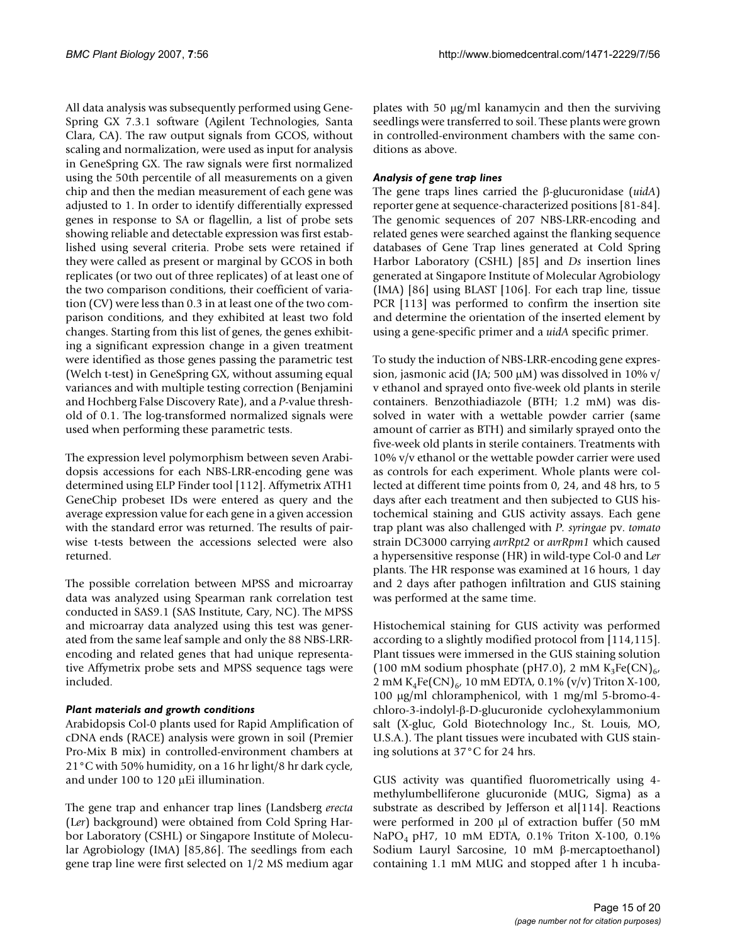All data analysis was subsequently performed using Gene-Spring GX 7.3.1 software (Agilent Technologies, Santa Clara, CA). The raw output signals from GCOS, without scaling and normalization, were used as input for analysis in GeneSpring GX. The raw signals were first normalized using the 50th percentile of all measurements on a given chip and then the median measurement of each gene was adjusted to 1. In order to identify differentially expressed genes in response to SA or flagellin, a list of probe sets showing reliable and detectable expression was first established using several criteria. Probe sets were retained if they were called as present or marginal by GCOS in both replicates (or two out of three replicates) of at least one of the two comparison conditions, their coefficient of variation (CV) were less than 0.3 in at least one of the two comparison conditions, and they exhibited at least two fold changes. Starting from this list of genes, the genes exhibiting a significant expression change in a given treatment were identified as those genes passing the parametric test (Welch t-test) in GeneSpring GX, without assuming equal variances and with multiple testing correction (Benjamini and Hochberg False Discovery Rate), and a *P*-value threshold of 0.1. The log-transformed normalized signals were used when performing these parametric tests.

The expression level polymorphism between seven Arabidopsis accessions for each NBS-LRR-encoding gene was determined using ELP Finder tool [112]. Affymetrix ATH1 GeneChip probeset IDs were entered as query and the average expression value for each gene in a given accession with the standard error was returned. The results of pairwise t-tests between the accessions selected were also returned.

The possible correlation between MPSS and microarray data was analyzed using Spearman rank correlation test conducted in SAS9.1 (SAS Institute, Cary, NC). The MPSS and microarray data analyzed using this test was generated from the same leaf sample and only the 88 NBS-LRRencoding and related genes that had unique representative Affymetrix probe sets and MPSS sequence tags were included.

#### *Plant materials and growth conditions*

Arabidopsis Col-0 plants used for Rapid Amplification of cDNA ends (RACE) analysis were grown in soil (Premier Pro-Mix B mix) in controlled-environment chambers at 21°C with 50% humidity, on a 16 hr light/8 hr dark cycle, and under 100 to 120 μEi illumination.

The gene trap and enhancer trap lines (Landsberg *erecta* (L*er*) background) were obtained from Cold Spring Harbor Laboratory (CSHL) or Singapore Institute of Molecular Agrobiology (IMA) [85,86]. The seedlings from each gene trap line were first selected on 1/2 MS medium agar

plates with 50 μg/ml kanamycin and then the surviving seedlings were transferred to soil. These plants were grown in controlled-environment chambers with the same conditions as above.

#### *Analysis of gene trap lines*

The gene traps lines carried the β-glucuronidase (*uidA*) reporter gene at sequence-characterized positions [81-84]. The genomic sequences of 207 NBS-LRR-encoding and related genes were searched against the flanking sequence databases of Gene Trap lines generated at Cold Spring Harbor Laboratory (CSHL) [85] and *Ds* insertion lines generated at Singapore Institute of Molecular Agrobiology (IMA) [86] using BLAST [106]. For each trap line, tissue PCR [113] was performed to confirm the insertion site and determine the orientation of the inserted element by using a gene-specific primer and a *uidA* specific primer.

To study the induction of NBS-LRR-encoding gene expression, jasmonic acid (JA; 500 μM) was dissolved in 10% v/ v ethanol and sprayed onto five-week old plants in sterile containers. Benzothiadiazole (BTH; 1.2 mM) was dissolved in water with a wettable powder carrier (same amount of carrier as BTH) and similarly sprayed onto the five-week old plants in sterile containers. Treatments with 10% v/v ethanol or the wettable powder carrier were used as controls for each experiment. Whole plants were collected at different time points from 0, 24, and 48 hrs, to 5 days after each treatment and then subjected to GUS histochemical staining and GUS activity assays. Each gene trap plant was also challenged with *P. syringae* pv. *tomato* strain DC3000 carrying *avrRpt2* or *avrRpm1* which caused a hypersensitive response (HR) in wild-type Col-0 and L*er* plants. The HR response was examined at 16 hours, 1 day and 2 days after pathogen infiltration and GUS staining was performed at the same time.

Histochemical staining for GUS activity was performed according to a slightly modified protocol from [114,115]. Plant tissues were immersed in the GUS staining solution (100 mM sodium phosphate (pH7.0), 2 mM  $K_3Fe(CN)_{6}$ 2 mM  $K_4Fe(CN)_{6}$ , 10 mM EDTA, 0.1% (v/v) Triton X-100, 100 μg/ml chloramphenicol, with 1 mg/ml 5-bromo-4 chloro-3-indolyl-β-D-glucuronide cyclohexylammonium salt (X-gluc, Gold Biotechnology Inc., St. Louis, MO, U.S.A.). The plant tissues were incubated with GUS staining solutions at 37°C for 24 hrs.

GUS activity was quantified fluorometrically using 4 methylumbelliferone glucuronide (MUG, Sigma) as a substrate as described by Jefferson et al[114]. Reactions were performed in 200 μl of extraction buffer (50 mM NaPO4 pH7, 10 mM EDTA, 0.1% Triton X-100, 0.1% Sodium Lauryl Sarcosine, 10 mM β-mercaptoethanol) containing 1.1 mM MUG and stopped after 1 h incuba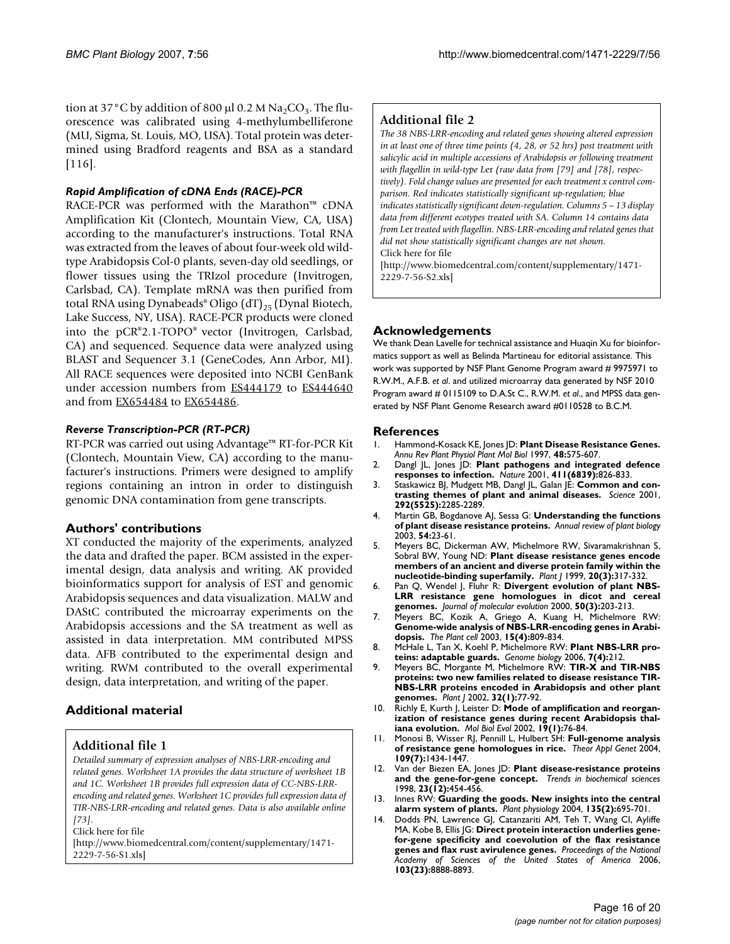tion at 37°C by addition of 800 μl 0.2 M Na<sub>2</sub>CO<sub>3</sub>. The fluorescence was calibrated using 4-methylumbelliferone (MU, Sigma, St. Louis, MO, USA). Total protein was determined using Bradford reagents and BSA as a standard [116].

#### *Rapid Amplification of cDNA Ends (RACE)-PCR*

RACE-PCR was performed with the Marathon™ cDNA Amplification Kit (Clontech, Mountain View, CA, USA) according to the manufacturer's instructions. Total RNA was extracted from the leaves of about four-week old wildtype Arabidopsis Col-0 plants, seven-day old seedlings, or flower tissues using the TRIzol procedure (Invitrogen, Carlsbad, CA). Template mRNA was then purified from total RNA using Dynabeads® Oligo  $(dT)_{25}$  (Dynal Biotech, Lake Success, NY, USA). RACE-PCR products were cloned into the pCR®2.1-TOPO® vector (Invitrogen, Carlsbad, CA) and sequenced. Sequence data were analyzed using BLAST and Sequencer 3.1 (GeneCodes, Ann Arbor, MI). All RACE sequences were deposited into NCBI GenBank under accession numbers from **[ES444179](http://www.ncbi.nih.gov/entrez/query.fcgi?db=Nucleotide&cmd=search&term=ES444179)** to **[ES444640](http://www.ncbi.nih.gov/entrez/query.fcgi?db=Nucleotide&cmd=search&term=ES444640)** and from [EX654484](http://www.ncbi.nih.gov/entrez/query.fcgi?db=Nucleotide&cmd=search&term=EX654484) to [EX654486](http://www.ncbi.nih.gov/entrez/query.fcgi?db=Nucleotide&cmd=search&term=EX654486).

#### *Reverse Transcription-PCR (RT-PCR)*

RT-PCR was carried out using Advantage™ RT-for-PCR Kit (Clontech, Mountain View, CA) according to the manufacturer's instructions. Primers were designed to amplify regions containing an intron in order to distinguish genomic DNA contamination from gene transcripts.

#### **Authors' contributions**

XT conducted the majority of the experiments, analyzed the data and drafted the paper. BCM assisted in the experimental design, data analysis and writing. AK provided bioinformatics support for analysis of EST and genomic Arabidopsis sequences and data visualization. MALW and DAStC contributed the microarray experiments on the Arabidopsis accessions and the SA treatment as well as assisted in data interpretation. MM contributed MPSS data. AFB contributed to the experimental design and writing. RWM contributed to the overall experimental design, data interpretation, and writing of the paper.

#### **Additional material**

#### **Additional file 1**

*Detailed summary of expression analyses of NBS-LRR-encoding and related genes. Worksheet 1A provides the data structure of worksheet 1B and 1C. Worksheet 1B provides full expression data of CC-NBS-LRRencoding and related genes. Worksheet 1C provides full expression data of TIR-NBS-LRR-encoding and related genes. Data is also available online [73].*

Click here for file

[\[http://www.biomedcentral.com/content/supplementary/1471-](http://www.biomedcentral.com/content/supplementary/1471-2229-7-56-S1.xls) 2229-7-56-S1.xls]

#### **Additional file 2**

*The 38 NBS-LRR-encoding and related genes showing altered expression in at least one of three time points (4, 28, or 52 hrs) post treatment with salicylic acid in multiple accessions of Arabidopsis or following treatment with flagellin in wild-type L*er *(raw data from [79] and [78], respectively). Fold change values are presented for each treatment x control comparison. Red indicates statistically significant up-regulation; blue indicates statistically significant down-regulation. Columns 5 – 13 display data from different ecotypes treated with SA. Column 14 contains data from L*er *treated with flagellin. NBS-LRR-encoding and related genes that did not show statistically significant changes are not shown.* Click here for file

[\[http://www.biomedcentral.com/content/supplementary/1471-](http://www.biomedcentral.com/content/supplementary/1471-2229-7-56-S2.xls) 2229-7-56-S2.xls]

#### **Acknowledgements**

We thank Dean Lavelle for technical assistance and Huaqin Xu for bioinformatics support as well as Belinda Martineau for editorial assistance. This work was supported by NSF Plant Genome Program award # 9975971 to R.W.M., A.F.B. *et al*. and utilized microarray data generated by NSF 2010 Program award # 0115109 to D.A.St C., R.W.M. *et al*., and MPSS data generated by NSF Plant Genome Research award #0110528 to B.C.M.

#### **References**

- 1. Hammond-Kosack KE, Jones JD: **[Plant Disease Resistance Genes.](http://www.ncbi.nlm.nih.gov/entrez/query.fcgi?cmd=Retrieve&db=PubMed&dopt=Abstract&list_uids=15012275)** *Annu Rev Plant Physiol Plant Mol Biol* 1997, **48:**575-607.
- 2. Dangl JL, Jones JD: **[Plant pathogens and integrated defence](http://www.ncbi.nlm.nih.gov/entrez/query.fcgi?cmd=Retrieve&db=PubMed&dopt=Abstract&list_uids=11459065) [responses to infection.](http://www.ncbi.nlm.nih.gov/entrez/query.fcgi?cmd=Retrieve&db=PubMed&dopt=Abstract&list_uids=11459065)** *Nature* 2001, **411(6839):**826-833.
- 3. Staskawicz BJ, Mudgett MB, Dangl JL, Galan JE: **[Common and con](http://www.ncbi.nlm.nih.gov/entrez/query.fcgi?cmd=Retrieve&db=PubMed&dopt=Abstract&list_uids=11423652)[trasting themes of plant and animal diseases.](http://www.ncbi.nlm.nih.gov/entrez/query.fcgi?cmd=Retrieve&db=PubMed&dopt=Abstract&list_uids=11423652)** *Science* 2001, **292(5525):**2285-2289.
- 4. Martin GB, Bogdanove AJ, Sessa G: **[Understanding the functions](http://www.ncbi.nlm.nih.gov/entrez/query.fcgi?cmd=Retrieve&db=PubMed&dopt=Abstract&list_uids=14502984) [of plant disease resistance proteins.](http://www.ncbi.nlm.nih.gov/entrez/query.fcgi?cmd=Retrieve&db=PubMed&dopt=Abstract&list_uids=14502984)** *Annual review of plant biology* 2003, **54:**23-61.
- 5. Meyers BC, Dickerman AW, Michelmore RW, Sivaramakrishnan S, Sobral BW, Young ND: **[Plant disease resistance genes encode](http://www.ncbi.nlm.nih.gov/entrez/query.fcgi?cmd=Retrieve&db=PubMed&dopt=Abstract&list_uids=10571892) [members of an ancient and diverse protein family within the](http://www.ncbi.nlm.nih.gov/entrez/query.fcgi?cmd=Retrieve&db=PubMed&dopt=Abstract&list_uids=10571892) [nucleotide-binding superfamily.](http://www.ncbi.nlm.nih.gov/entrez/query.fcgi?cmd=Retrieve&db=PubMed&dopt=Abstract&list_uids=10571892)** *Plant J* 1999, **20(3):**317-332.
- 6. Pan Q, Wendel J, Fluhr R: **[Divergent evolution of plant NBS-](http://www.ncbi.nlm.nih.gov/entrez/query.fcgi?cmd=Retrieve&db=PubMed&dopt=Abstract&list_uids=10754062)[LRR resistance gene homologues in dicot and cereal](http://www.ncbi.nlm.nih.gov/entrez/query.fcgi?cmd=Retrieve&db=PubMed&dopt=Abstract&list_uids=10754062) [genomes.](http://www.ncbi.nlm.nih.gov/entrez/query.fcgi?cmd=Retrieve&db=PubMed&dopt=Abstract&list_uids=10754062)** *Journal of molecular evolution* 2000, **50(3):**203-213.
- 7. Meyers BC, Kozik A, Griego A, Kuang H, Michelmore RW: **[Genome-wide analysis of NBS-LRR-encoding genes in Arabi](http://www.ncbi.nlm.nih.gov/entrez/query.fcgi?cmd=Retrieve&db=PubMed&dopt=Abstract&list_uids=12671079)[dopsis.](http://www.ncbi.nlm.nih.gov/entrez/query.fcgi?cmd=Retrieve&db=PubMed&dopt=Abstract&list_uids=12671079)** *The Plant cell* 2003, **15(4):**809-834.
- 8. McHale L, Tan X, Koehl P, Michelmore RW: **[Plant NBS-LRR pro](http://www.ncbi.nlm.nih.gov/entrez/query.fcgi?cmd=Retrieve&db=PubMed&dopt=Abstract&list_uids=16677430)[teins: adaptable guards.](http://www.ncbi.nlm.nih.gov/entrez/query.fcgi?cmd=Retrieve&db=PubMed&dopt=Abstract&list_uids=16677430)** *Genome biology* 2006, **7(4):**212.
- 9. Meyers BC, Morgante M, Michelmore RW: **[TIR-X and TIR-NBS](http://www.ncbi.nlm.nih.gov/entrez/query.fcgi?cmd=Retrieve&db=PubMed&dopt=Abstract&list_uids=12366802) [proteins: two new families related to disease resistance TIR-](http://www.ncbi.nlm.nih.gov/entrez/query.fcgi?cmd=Retrieve&db=PubMed&dopt=Abstract&list_uids=12366802)NBS-LRR proteins encoded in Arabidopsis and other plant [genomes.](http://www.ncbi.nlm.nih.gov/entrez/query.fcgi?cmd=Retrieve&db=PubMed&dopt=Abstract&list_uids=12366802)** *Plant J* 2002, **32(1):**77-92.
- 10. Richly E, Kurth J, Leister D: [Mode of amplification and reorgan](http://www.ncbi.nlm.nih.gov/entrez/query.fcgi?cmd=Retrieve&db=PubMed&dopt=Abstract&list_uids=11752192)**[ization of resistance genes during recent Arabidopsis thal](http://www.ncbi.nlm.nih.gov/entrez/query.fcgi?cmd=Retrieve&db=PubMed&dopt=Abstract&list_uids=11752192)[iana evolution.](http://www.ncbi.nlm.nih.gov/entrez/query.fcgi?cmd=Retrieve&db=PubMed&dopt=Abstract&list_uids=11752192)** *Mol Biol Evol* 2002, **19(1):**76-84.
- 11. Monosi B, Wisser RJ, Pennill L, Hulbert SH: **[Full-genome analysis](http://www.ncbi.nlm.nih.gov/entrez/query.fcgi?cmd=Retrieve&db=PubMed&dopt=Abstract&list_uids=15309302) [of resistance gene homologues in rice.](http://www.ncbi.nlm.nih.gov/entrez/query.fcgi?cmd=Retrieve&db=PubMed&dopt=Abstract&list_uids=15309302)** *Theor Appl Genet* 2004, **109(7):**1434-1447.
- 12. Van der Biezen EA, Jones JD: **[Plant disease-resistance proteins](http://www.ncbi.nlm.nih.gov/entrez/query.fcgi?cmd=Retrieve&db=PubMed&dopt=Abstract&list_uids=9868361) [and the gene-for-gene concept.](http://www.ncbi.nlm.nih.gov/entrez/query.fcgi?cmd=Retrieve&db=PubMed&dopt=Abstract&list_uids=9868361)** *Trends in biochemical sciences* 1998, **23(12):**454-456.
- 13. Innes RW: **[Guarding the goods. New insights into the central](http://www.ncbi.nlm.nih.gov/entrez/query.fcgi?cmd=Retrieve&db=PubMed&dopt=Abstract&list_uids=15208416) [alarm system of plants.](http://www.ncbi.nlm.nih.gov/entrez/query.fcgi?cmd=Retrieve&db=PubMed&dopt=Abstract&list_uids=15208416)** *Plant physiology* 2004, **135(2):**695-701.
- 14. Dodds PN, Lawrence GJ, Catanzariti AM, Teh T, Wang CI, Ayliffe MA, Kobe B, Ellis JG: **[Direct protein interaction underlies gene](http://www.ncbi.nlm.nih.gov/entrez/query.fcgi?cmd=Retrieve&db=PubMed&dopt=Abstract&list_uids=16731621)[for-gene specificity and coevolution of the flax resistance](http://www.ncbi.nlm.nih.gov/entrez/query.fcgi?cmd=Retrieve&db=PubMed&dopt=Abstract&list_uids=16731621) [genes and flax rust avirulence genes.](http://www.ncbi.nlm.nih.gov/entrez/query.fcgi?cmd=Retrieve&db=PubMed&dopt=Abstract&list_uids=16731621)** *Proceedings of the National Academy of Sciences of the United States of America* 2006, **103(23):**8888-8893.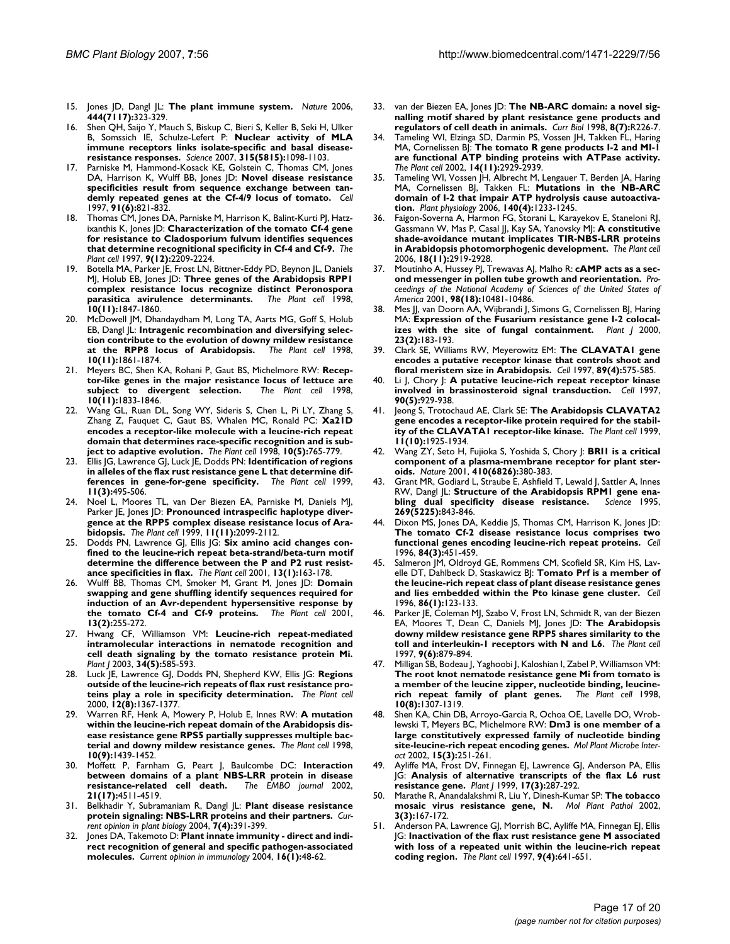- 15. Jones JD, Dangl JL: **[The plant immune system.](http://www.ncbi.nlm.nih.gov/entrez/query.fcgi?cmd=Retrieve&db=PubMed&dopt=Abstract&list_uids=17108957)** *Nature* 2006, **444(7117):**323-329.
- 16. Shen QH, Saijo Y, Mauch S, Biskup C, Bieri S, Keller B, Seki H, Ulker B, Somssich IE, Schulze-Lefert P: **[Nuclear activity of MLA](http://www.ncbi.nlm.nih.gov/entrez/query.fcgi?cmd=Retrieve&db=PubMed&dopt=Abstract&list_uids=17185563) [immune receptors links isolate-specific and basal disease](http://www.ncbi.nlm.nih.gov/entrez/query.fcgi?cmd=Retrieve&db=PubMed&dopt=Abstract&list_uids=17185563)[resistance responses.](http://www.ncbi.nlm.nih.gov/entrez/query.fcgi?cmd=Retrieve&db=PubMed&dopt=Abstract&list_uids=17185563)** *Science* 2007, **315(5815):**1098-1103.
- Parniske M, Hammond-Kosack KE, Golstein C, Thomas CM, Jones DA, Harrison K, Wulff BB, Jones JD: **[Novel disease resistance](http://www.ncbi.nlm.nih.gov/entrez/query.fcgi?cmd=Retrieve&db=PubMed&dopt=Abstract&list_uids=9413991) [specificities result from sequence exchange between tan](http://www.ncbi.nlm.nih.gov/entrez/query.fcgi?cmd=Retrieve&db=PubMed&dopt=Abstract&list_uids=9413991)[demly repeated genes at the Cf-4/9 locus of tomato.](http://www.ncbi.nlm.nih.gov/entrez/query.fcgi?cmd=Retrieve&db=PubMed&dopt=Abstract&list_uids=9413991)** *Cell* 1997, **91(6):**821-832.
- 18. Thomas CM, Jones DA, Parniske M, Harrison K, Balint-Kurti PJ, Hatzixanthis K, Jones JD: **[Characterization of the tomato Cf-4 gene](http://www.ncbi.nlm.nih.gov/entrez/query.fcgi?cmd=Retrieve&db=PubMed&dopt=Abstract&list_uids=9437864) [for resistance to Cladosporium fulvum identifies sequences](http://www.ncbi.nlm.nih.gov/entrez/query.fcgi?cmd=Retrieve&db=PubMed&dopt=Abstract&list_uids=9437864) [that determine recognitional specificity in Cf-4 and Cf-9.](http://www.ncbi.nlm.nih.gov/entrez/query.fcgi?cmd=Retrieve&db=PubMed&dopt=Abstract&list_uids=9437864)** *The Plant cell* 1997, **9(12):**2209-2224.
- Botella MA, Parker JE, Frost LN, Bittner-Eddy PD, Beynon JL, Daniels MJ, Holub EB, Jones JD: **[Three genes of the Arabidopsis RPP1](http://www.ncbi.nlm.nih.gov/entrez/query.fcgi?cmd=Retrieve&db=PubMed&dopt=Abstract&list_uids=9811793) [complex resistance locus recognize distinct Peronospora](http://www.ncbi.nlm.nih.gov/entrez/query.fcgi?cmd=Retrieve&db=PubMed&dopt=Abstract&list_uids=9811793) [parasitica avirulence determinants.](http://www.ncbi.nlm.nih.gov/entrez/query.fcgi?cmd=Retrieve&db=PubMed&dopt=Abstract&list_uids=9811793)** *The Plant cell* 1998, **10(11):**1847-1860.
- McDowell JM, Dhandaydham M, Long TA, Aarts MG, Goff S, Holub EB, Dangl JL: **[Intragenic recombination and diversifying selec](http://www.ncbi.nlm.nih.gov/entrez/query.fcgi?cmd=Retrieve&db=PubMed&dopt=Abstract&list_uids=9811794)[tion contribute to the evolution of downy mildew resistance](http://www.ncbi.nlm.nih.gov/entrez/query.fcgi?cmd=Retrieve&db=PubMed&dopt=Abstract&list_uids=9811794)** [at the RPP8 locus of Arabidopsis.](http://www.ncbi.nlm.nih.gov/entrez/query.fcgi?cmd=Retrieve&db=PubMed&dopt=Abstract&list_uids=9811794) **10(11):**1861-1874.
- 21. Meyers BC, Shen KA, Rohani P, Gaut BS, Michelmore RW: **[Recep](http://www.ncbi.nlm.nih.gov/entrez/query.fcgi?cmd=Retrieve&db=PubMed&dopt=Abstract&list_uids=9811792)[tor-like genes in the major resistance locus of lettuce are](http://www.ncbi.nlm.nih.gov/entrez/query.fcgi?cmd=Retrieve&db=PubMed&dopt=Abstract&list_uids=9811792)** [subject to divergent selection.](http://www.ncbi.nlm.nih.gov/entrez/query.fcgi?cmd=Retrieve&db=PubMed&dopt=Abstract&list_uids=9811792) **10(11):**1833-1846.
- 22. Wang GL, Ruan DL, Song WY, Sideris S, Chen L, Pi LY, Zhang S, Zhang Z, Fauquet C, Gaut BS, Whalen MC, Ronald PC: **[Xa21D](http://www.ncbi.nlm.nih.gov/entrez/query.fcgi?cmd=Retrieve&db=PubMed&dopt=Abstract&list_uids=9596635) [encodes a receptor-like molecule with a leucine-rich repeat](http://www.ncbi.nlm.nih.gov/entrez/query.fcgi?cmd=Retrieve&db=PubMed&dopt=Abstract&list_uids=9596635) domain that determines race-specific recognition and is sub[ject to adaptive evolution.](http://www.ncbi.nlm.nih.gov/entrez/query.fcgi?cmd=Retrieve&db=PubMed&dopt=Abstract&list_uids=9596635)** *The Plant cell* 1998, **10(5):**765-779.
- 23. Ellis JG, Lawrence GJ, Luck JE, Dodds PN: **[Identification of regions](http://www.ncbi.nlm.nih.gov/entrez/query.fcgi?cmd=Retrieve&db=PubMed&dopt=Abstract&list_uids=10072407) [in alleles of the flax rust resistance gene L that determine dif](http://www.ncbi.nlm.nih.gov/entrez/query.fcgi?cmd=Retrieve&db=PubMed&dopt=Abstract&list_uids=10072407)[ferences in gene-for-gene specificity.](http://www.ncbi.nlm.nih.gov/entrez/query.fcgi?cmd=Retrieve&db=PubMed&dopt=Abstract&list_uids=10072407)** *The Plant cell* 1999, **11(3):**495-506.
- 24. Noel L, Moores TL, van Der Biezen EA, Parniske M, Daniels MJ, Parker JE, Jones JD: **[Pronounced intraspecific haplotype diver](http://www.ncbi.nlm.nih.gov/entrez/query.fcgi?cmd=Retrieve&db=PubMed&dopt=Abstract&list_uids=10559437)[gence at the RPP5 complex disease resistance locus of Ara](http://www.ncbi.nlm.nih.gov/entrez/query.fcgi?cmd=Retrieve&db=PubMed&dopt=Abstract&list_uids=10559437)[bidopsis.](http://www.ncbi.nlm.nih.gov/entrez/query.fcgi?cmd=Retrieve&db=PubMed&dopt=Abstract&list_uids=10559437)** *The Plant cell* 1999, **11(11):**2099-2112.
- 25. Dodds PN, Lawrence GJ, Ellis JG: **[Six amino acid changes con](http://www.ncbi.nlm.nih.gov/entrez/query.fcgi?cmd=Retrieve&db=PubMed&dopt=Abstract&list_uids=11158537)[fined to the leucine-rich repeat beta-strand/beta-turn motif](http://www.ncbi.nlm.nih.gov/entrez/query.fcgi?cmd=Retrieve&db=PubMed&dopt=Abstract&list_uids=11158537) determine the difference between the P and P2 rust resist[ance specificities in flax.](http://www.ncbi.nlm.nih.gov/entrez/query.fcgi?cmd=Retrieve&db=PubMed&dopt=Abstract&list_uids=11158537)** *The Plant cell* 2001, **13(1):**163-178.
- 26. Wulff BB, Thomas CM, Smoker M, Grant M, Jones JD: **[Domain](http://www.ncbi.nlm.nih.gov/entrez/query.fcgi?cmd=Retrieve&db=PubMed&dopt=Abstract&list_uids=11226184) [swapping and gene shuffling identify sequences required for](http://www.ncbi.nlm.nih.gov/entrez/query.fcgi?cmd=Retrieve&db=PubMed&dopt=Abstract&list_uids=11226184) induction of an Avr-dependent hypersensitive response by [the tomato Cf-4 and Cf-9 proteins.](http://www.ncbi.nlm.nih.gov/entrez/query.fcgi?cmd=Retrieve&db=PubMed&dopt=Abstract&list_uids=11226184)** *The Plant cell* 2001, **13(2):**255-272.
- 27. Hwang CF, Williamson VM: **[Leucine-rich repeat-mediated](http://www.ncbi.nlm.nih.gov/entrez/query.fcgi?cmd=Retrieve&db=PubMed&dopt=Abstract&list_uids=12787241) intramolecular interactions in nematode recognition and [cell death signaling by the tomato resistance protein Mi.](http://www.ncbi.nlm.nih.gov/entrez/query.fcgi?cmd=Retrieve&db=PubMed&dopt=Abstract&list_uids=12787241)** *Plant J* 2003, **34(5):**585-593.
- 28. Luck JE, Lawrence GJ, Dodds PN, Shepherd KW, Ellis JG: **[Regions](http://www.ncbi.nlm.nih.gov/entrez/query.fcgi?cmd=Retrieve&db=PubMed&dopt=Abstract&list_uids=10948256) [outside of the leucine-rich repeats of flax rust resistance pro](http://www.ncbi.nlm.nih.gov/entrez/query.fcgi?cmd=Retrieve&db=PubMed&dopt=Abstract&list_uids=10948256)[teins play a role in specificity determination.](http://www.ncbi.nlm.nih.gov/entrez/query.fcgi?cmd=Retrieve&db=PubMed&dopt=Abstract&list_uids=10948256)** *The Plant cell* 2000, **12(8):**1367-1377.
- 29. Warren RF, Henk A, Mowery P, Holub E, Innes RW: **[A mutation](http://www.ncbi.nlm.nih.gov/entrez/query.fcgi?cmd=Retrieve&db=PubMed&dopt=Abstract&list_uids=9724691) [within the leucine-rich repeat domain of the Arabidopsis dis](http://www.ncbi.nlm.nih.gov/entrez/query.fcgi?cmd=Retrieve&db=PubMed&dopt=Abstract&list_uids=9724691)ease resistance gene RPS5 partially suppresses multiple bac[terial and downy mildew resistance genes.](http://www.ncbi.nlm.nih.gov/entrez/query.fcgi?cmd=Retrieve&db=PubMed&dopt=Abstract&list_uids=9724691)** *The Plant cell* 1998, **10(9):**1439-1452.
- 30. Moffett P, Farnham G, Peart J, Baulcombe DC: **[Interaction](http://www.ncbi.nlm.nih.gov/entrez/query.fcgi?cmd=Retrieve&db=PubMed&dopt=Abstract&list_uids=12198153) [between domains of a plant NBS-LRR protein in disease](http://www.ncbi.nlm.nih.gov/entrez/query.fcgi?cmd=Retrieve&db=PubMed&dopt=Abstract&list_uids=12198153)**  $resistance-related$  cell death. **21(17):**4511-4519.
- 31. Belkhadir Y, Subramaniam R, Dangl JL: **[Plant disease resistance](http://www.ncbi.nlm.nih.gov/entrez/query.fcgi?cmd=Retrieve&db=PubMed&dopt=Abstract&list_uids=15231261) [protein signaling: NBS-LRR proteins and their partners.](http://www.ncbi.nlm.nih.gov/entrez/query.fcgi?cmd=Retrieve&db=PubMed&dopt=Abstract&list_uids=15231261)** *Current opinion in plant biology* 2004, **7(4):**391-399.
- 32. Jones DA, Takemoto D: **[Plant innate immunity direct and indi](http://www.ncbi.nlm.nih.gov/entrez/query.fcgi?cmd=Retrieve&db=PubMed&dopt=Abstract&list_uids=14734110)[rect recognition of general and specific pathogen-associated](http://www.ncbi.nlm.nih.gov/entrez/query.fcgi?cmd=Retrieve&db=PubMed&dopt=Abstract&list_uids=14734110) [molecules.](http://www.ncbi.nlm.nih.gov/entrez/query.fcgi?cmd=Retrieve&db=PubMed&dopt=Abstract&list_uids=14734110)** *Current opinion in immunology* 2004, **16(1):**48-62.
- 33. van der Biezen EA, Jones JD: **[The NB-ARC domain: a novel sig](http://www.ncbi.nlm.nih.gov/entrez/query.fcgi?cmd=Retrieve&db=PubMed&dopt=Abstract&list_uids=9545207)[nalling motif shared by plant resistance gene products and](http://www.ncbi.nlm.nih.gov/entrez/query.fcgi?cmd=Retrieve&db=PubMed&dopt=Abstract&list_uids=9545207) [regulators of cell death in animals.](http://www.ncbi.nlm.nih.gov/entrez/query.fcgi?cmd=Retrieve&db=PubMed&dopt=Abstract&list_uids=9545207)** *Curr Biol* 1998, **8(7):**R226-7.
- 34. Tameling WI, Elzinga SD, Darmin PS, Vossen JH, Takken FL, Haring MA, Cornelissen BJ: **[The tomato R gene products I-2 and MI-1](http://www.ncbi.nlm.nih.gov/entrez/query.fcgi?cmd=Retrieve&db=PubMed&dopt=Abstract&list_uids=12417711) [are functional ATP binding proteins with ATPase activity.](http://www.ncbi.nlm.nih.gov/entrez/query.fcgi?cmd=Retrieve&db=PubMed&dopt=Abstract&list_uids=12417711)** *The Plant cell* 2002, **14(11):**2929-2939.
- Tameling WI, Vossen JH, Albrecht M, Lengauer T, Berden JA, Haring MA, Cornelissen BJ, Takken FL: **[Mutations in the NB-ARC](http://www.ncbi.nlm.nih.gov/entrez/query.fcgi?cmd=Retrieve&db=PubMed&dopt=Abstract&list_uids=16489136) [domain of I-2 that impair ATP hydrolysis cause autoactiva](http://www.ncbi.nlm.nih.gov/entrez/query.fcgi?cmd=Retrieve&db=PubMed&dopt=Abstract&list_uids=16489136)[tion.](http://www.ncbi.nlm.nih.gov/entrez/query.fcgi?cmd=Retrieve&db=PubMed&dopt=Abstract&list_uids=16489136)** *Plant physiology* 2006, **140(4):**1233-1245.
- 36. Faigon-Soverna A, Harmon FG, Storani L, Karayekov E, Staneloni RJ, Gassmann W, Mas P, Casal JJ, Kay SA, Yanovsky MJ: **[A constitutive](http://www.ncbi.nlm.nih.gov/entrez/query.fcgi?cmd=Retrieve&db=PubMed&dopt=Abstract&list_uids=17114357) [shade-avoidance mutant implicates TIR-NBS-LRR proteins](http://www.ncbi.nlm.nih.gov/entrez/query.fcgi?cmd=Retrieve&db=PubMed&dopt=Abstract&list_uids=17114357) [in Arabidopsis photomorphogenic development.](http://www.ncbi.nlm.nih.gov/entrez/query.fcgi?cmd=Retrieve&db=PubMed&dopt=Abstract&list_uids=17114357)** *The Plant cell* 2006, **18(11):**2919-2928.
- Moutinho A, Hussey PJ, Trewavas AJ, Malho R: **[cAMP acts as a sec](http://www.ncbi.nlm.nih.gov/entrez/query.fcgi?cmd=Retrieve&db=PubMed&dopt=Abstract&list_uids=11517303)[ond messenger in pollen tube growth and reorientation.](http://www.ncbi.nlm.nih.gov/entrez/query.fcgi?cmd=Retrieve&db=PubMed&dopt=Abstract&list_uids=11517303)** *Proceedings of the National Academy of Sciences of the United States of America* 2001, **98(18):**10481-10486.
- 38. Mes JJ, van Doorn AA, Wijbrandi J, Simons G, Cornelissen BJ, Haring MA: **[Expression of the Fusarium resistance gene I-2 colocal](http://www.ncbi.nlm.nih.gov/entrez/query.fcgi?cmd=Retrieve&db=PubMed&dopt=Abstract&list_uids=10929112)[izes with the site of fungal containment.](http://www.ncbi.nlm.nih.gov/entrez/query.fcgi?cmd=Retrieve&db=PubMed&dopt=Abstract&list_uids=10929112)** *Plant J* 2000, **23(2):**183-193.
- 39. Clark SE, Williams RW, Meyerowitz EM: **[The CLAVATA1 gene](http://www.ncbi.nlm.nih.gov/entrez/query.fcgi?cmd=Retrieve&db=PubMed&dopt=Abstract&list_uids=9160749) [encodes a putative receptor kinase that controls shoot and](http://www.ncbi.nlm.nih.gov/entrez/query.fcgi?cmd=Retrieve&db=PubMed&dopt=Abstract&list_uids=9160749) [floral meristem size in Arabidopsis.](http://www.ncbi.nlm.nih.gov/entrez/query.fcgi?cmd=Retrieve&db=PubMed&dopt=Abstract&list_uids=9160749)** *Cell* 1997, **89(4):**575-585.
- 40. Li J, Chory J: **[A putative leucine-rich repeat receptor kinase](http://www.ncbi.nlm.nih.gov/entrez/query.fcgi?cmd=Retrieve&db=PubMed&dopt=Abstract&list_uids=9298904) [involved in brassinosteroid signal transduction.](http://www.ncbi.nlm.nih.gov/entrez/query.fcgi?cmd=Retrieve&db=PubMed&dopt=Abstract&list_uids=9298904)** *Cell* 1997, **90(5):**929-938.
- 41. Jeong S, Trotochaud AE, Clark SE: **[The Arabidopsis CLAVATA2](http://www.ncbi.nlm.nih.gov/entrez/query.fcgi?cmd=Retrieve&db=PubMed&dopt=Abstract&list_uids=10521522) [gene encodes a receptor-like protein required for the stabil](http://www.ncbi.nlm.nih.gov/entrez/query.fcgi?cmd=Retrieve&db=PubMed&dopt=Abstract&list_uids=10521522)[ity of the CLAVATA1 receptor-like kinase.](http://www.ncbi.nlm.nih.gov/entrez/query.fcgi?cmd=Retrieve&db=PubMed&dopt=Abstract&list_uids=10521522)** *The Plant cell* 1999, **11(10):**1925-1934.
- 42. Wang ZY, Seto H, Fujioka S, Yoshida S, Chory J: **[BRI1 is a critical](http://www.ncbi.nlm.nih.gov/entrez/query.fcgi?cmd=Retrieve&db=PubMed&dopt=Abstract&list_uids=11268216) [component of a plasma-membrane receptor for plant ster](http://www.ncbi.nlm.nih.gov/entrez/query.fcgi?cmd=Retrieve&db=PubMed&dopt=Abstract&list_uids=11268216)[oids.](http://www.ncbi.nlm.nih.gov/entrez/query.fcgi?cmd=Retrieve&db=PubMed&dopt=Abstract&list_uids=11268216)** *Nature* 2001, **410(6826):**380-383.
- 43. Grant MR, Godiard L, Straube E, Ashfield T, Lewald J, Sattler A, Innes RW, Dangl JL: **Structure of the Arabidopsis RPM1 gene ena-**<br>**bling dual specificity disease resistance.** Science 1995. **[bling dual specificity disease resistance.](http://www.ncbi.nlm.nih.gov/entrez/query.fcgi?cmd=Retrieve&db=PubMed&dopt=Abstract&list_uids=7638602) 269(5225):**843-846.
- Dixon MS, Jones DA, Keddie JS, Thomas CM, Harrison K, Jones JD: **[The tomato Cf-2 disease resistance locus comprises two](http://www.ncbi.nlm.nih.gov/entrez/query.fcgi?cmd=Retrieve&db=PubMed&dopt=Abstract&list_uids=8608599) [functional genes encoding leucine-rich repeat proteins.](http://www.ncbi.nlm.nih.gov/entrez/query.fcgi?cmd=Retrieve&db=PubMed&dopt=Abstract&list_uids=8608599)** *Cell* 1996, **84(3):**451-459.
- 45. Salmeron JM, Oldroyd GE, Rommens CM, Scofield SR, Kim HS, Lavelle DT, Dahlbeck D, Staskawicz BJ: **[Tomato Prf is a member of](http://www.ncbi.nlm.nih.gov/entrez/query.fcgi?cmd=Retrieve&db=PubMed&dopt=Abstract&list_uids=8689679) [the leucine-rich repeat class of plant disease resistance genes](http://www.ncbi.nlm.nih.gov/entrez/query.fcgi?cmd=Retrieve&db=PubMed&dopt=Abstract&list_uids=8689679) [and lies embedded within the Pto kinase gene cluster.](http://www.ncbi.nlm.nih.gov/entrez/query.fcgi?cmd=Retrieve&db=PubMed&dopt=Abstract&list_uids=8689679)** *Cell* 1996, **86(1):**123-133.
- 46. Parker JE, Coleman MJ, Szabo V, Frost LN, Schmidt R, van der Biezen EA, Moores T, Dean C, Daniels MJ, Jones JD: **[The Arabidopsis](http://www.ncbi.nlm.nih.gov/entrez/query.fcgi?cmd=Retrieve&db=PubMed&dopt=Abstract&list_uids=9212464) [downy mildew resistance gene RPP5 shares similarity to the](http://www.ncbi.nlm.nih.gov/entrez/query.fcgi?cmd=Retrieve&db=PubMed&dopt=Abstract&list_uids=9212464) [toll and interleukin-1 receptors with N and L6.](http://www.ncbi.nlm.nih.gov/entrez/query.fcgi?cmd=Retrieve&db=PubMed&dopt=Abstract&list_uids=9212464)** *The Plant cell* 1997, **9(6):**879-894.
- 47. Milligan SB, Bodeau J, Yaghoobi J, Kaloshian I, Zabel P, Williamson VM: **[The root knot nematode resistance gene Mi from tomato is](http://www.ncbi.nlm.nih.gov/entrez/query.fcgi?cmd=Retrieve&db=PubMed&dopt=Abstract&list_uids=9707531) a member of the leucine zipper, nucleotide binding, leucine[rich repeat family of plant genes.](http://www.ncbi.nlm.nih.gov/entrez/query.fcgi?cmd=Retrieve&db=PubMed&dopt=Abstract&list_uids=9707531)** *The Plant cell* 1998, **10(8):**1307-1319.
- 48. Shen KA, Chin DB, Arroyo-Garcia R, Ochoa OE, Lavelle DO, Wroblewski T, Meyers BC, Michelmore RW: **[Dm3 is one member of a](http://www.ncbi.nlm.nih.gov/entrez/query.fcgi?cmd=Retrieve&db=PubMed&dopt=Abstract&list_uids=11952128) [large constitutively expressed family of nucleotide binding](http://www.ncbi.nlm.nih.gov/entrez/query.fcgi?cmd=Retrieve&db=PubMed&dopt=Abstract&list_uids=11952128) [site-leucine-rich repeat encoding genes.](http://www.ncbi.nlm.nih.gov/entrez/query.fcgi?cmd=Retrieve&db=PubMed&dopt=Abstract&list_uids=11952128)** *Mol Plant Microbe Interact* 2002, **15(3):**251-261.
- 49. Ayliffe MA, Frost DV, Finnegan EJ, Lawrence GJ, Anderson PA, Ellis JG: **[Analysis of alternative transcripts of the flax L6 rust](http://www.ncbi.nlm.nih.gov/entrez/query.fcgi?cmd=Retrieve&db=PubMed&dopt=Abstract&list_uids=10097386) [resistance gene.](http://www.ncbi.nlm.nih.gov/entrez/query.fcgi?cmd=Retrieve&db=PubMed&dopt=Abstract&list_uids=10097386)** *Plant J* 1999, **17(3):**287-292.
- 50. Marathe R, Anandalakshmi R, Liu Y, Dinesh-Kumar SP: **The tobacco mosaic virus resistance gene, N.** *Mol Plant Pathol* 2002, **3(3):**167-172.
- Anderson PA, Lawrence GJ, Morrish BC, Ayliffe MA, Finnegan EJ, Ellis JG: **[Inactivation of the flax rust resistance gene M associated](http://www.ncbi.nlm.nih.gov/entrez/query.fcgi?cmd=Retrieve&db=PubMed&dopt=Abstract&list_uids=9144966) [with loss of a repeated unit within the leucine-rich repeat](http://www.ncbi.nlm.nih.gov/entrez/query.fcgi?cmd=Retrieve&db=PubMed&dopt=Abstract&list_uids=9144966) [coding region.](http://www.ncbi.nlm.nih.gov/entrez/query.fcgi?cmd=Retrieve&db=PubMed&dopt=Abstract&list_uids=9144966)** *The Plant cell* 1997, **9(4):**641-651.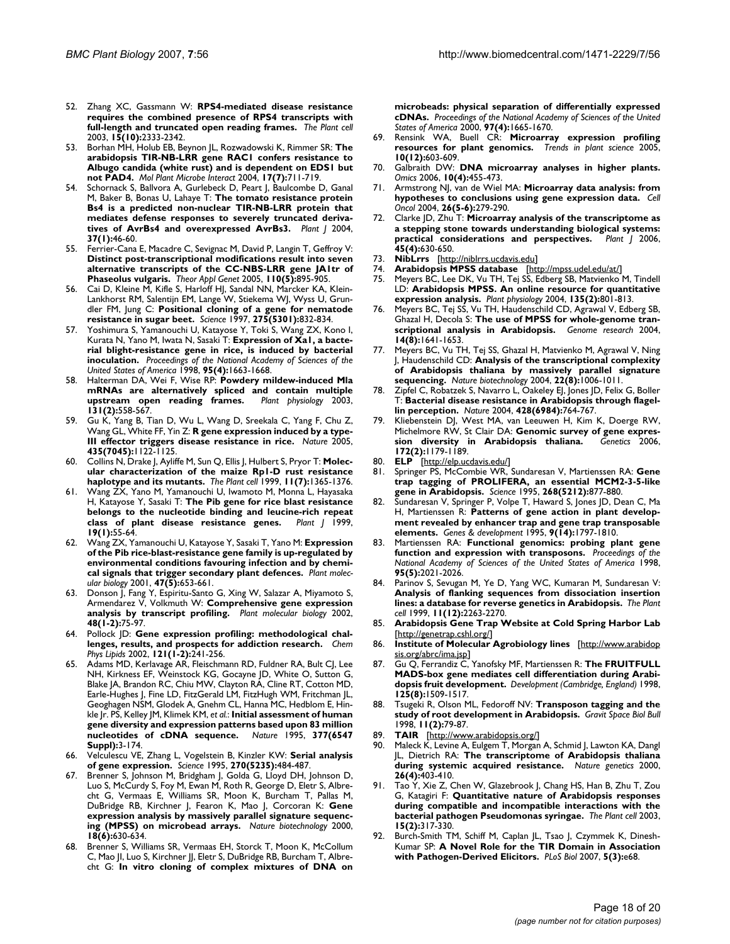- 52. Zhang XC, Gassmann W: **[RPS4-mediated disease resistance](http://www.ncbi.nlm.nih.gov/entrez/query.fcgi?cmd=Retrieve&db=PubMed&dopt=Abstract&list_uids=14523247) [requires the combined presence of RPS4 transcripts with](http://www.ncbi.nlm.nih.gov/entrez/query.fcgi?cmd=Retrieve&db=PubMed&dopt=Abstract&list_uids=14523247) [full-length and truncated open reading frames.](http://www.ncbi.nlm.nih.gov/entrez/query.fcgi?cmd=Retrieve&db=PubMed&dopt=Abstract&list_uids=14523247)** *The Plant cell* 2003, **15(10):**2333-2342.
- 53. Borhan MH, Holub EB, Beynon JL, Rozwadowski K, Rimmer SR: **[The](http://www.ncbi.nlm.nih.gov/entrez/query.fcgi?cmd=Retrieve&db=PubMed&dopt=Abstract&list_uids=15242165) [arabidopsis TIR-NB-LRR gene RAC1 confers resistance to](http://www.ncbi.nlm.nih.gov/entrez/query.fcgi?cmd=Retrieve&db=PubMed&dopt=Abstract&list_uids=15242165) Albugo candida (white rust) and is dependent on EDS1 but [not PAD4.](http://www.ncbi.nlm.nih.gov/entrez/query.fcgi?cmd=Retrieve&db=PubMed&dopt=Abstract&list_uids=15242165)** *Mol Plant Microbe Interact* 2004, **17(7):**711-719.
- Schornack S, Ballvora A, Gurlebeck D, Peart J, Baulcombe D, Ganal M, Baker B, Bonas U, Lahaye T: **[The tomato resistance protein](http://www.ncbi.nlm.nih.gov/entrez/query.fcgi?cmd=Retrieve&db=PubMed&dopt=Abstract&list_uids=14675431) [Bs4 is a predicted non-nuclear TIR-NB-LRR protein that](http://www.ncbi.nlm.nih.gov/entrez/query.fcgi?cmd=Retrieve&db=PubMed&dopt=Abstract&list_uids=14675431) mediates defense responses to severely truncated deriva[tives of AvrBs4 and overexpressed AvrBs3.](http://www.ncbi.nlm.nih.gov/entrez/query.fcgi?cmd=Retrieve&db=PubMed&dopt=Abstract&list_uids=14675431)** *Plant J* 2004, **37(1):**46-60.
- 55. Ferrier-Cana E, Macadre C, Sevignac M, David P, Langin T, Geffroy V: **[Distinct post-transcriptional modifications result into seven](http://www.ncbi.nlm.nih.gov/entrez/query.fcgi?cmd=Retrieve&db=PubMed&dopt=Abstract&list_uids=15660237) alternative transcripts of the CC-NBS-LRR gene JA1tr of [Phaseolus vulgaris.](http://www.ncbi.nlm.nih.gov/entrez/query.fcgi?cmd=Retrieve&db=PubMed&dopt=Abstract&list_uids=15660237)** *Theor Appl Genet* 2005, **110(5):**895-905.
- 56. Cai D, Kleine M, Kifle S, Harloff HJ, Sandal NN, Marcker KA, Klein-Lankhorst RM, Salentijn EM, Lange W, Stiekema WJ, Wyss U, Grundler FM, Jung C: **[Positional cloning of a gene for nematode](http://www.ncbi.nlm.nih.gov/entrez/query.fcgi?cmd=Retrieve&db=PubMed&dopt=Abstract&list_uids=9012350) [resistance in sugar beet.](http://www.ncbi.nlm.nih.gov/entrez/query.fcgi?cmd=Retrieve&db=PubMed&dopt=Abstract&list_uids=9012350)** *Science* 1997, **275(5301):**832-834.
- 57. Yoshimura S, Yamanouchi U, Katayose Y, Toki S, Wang ZX, Kono I, Kurata N, Yano M, Iwata N, Sasaki T: **[Expression of Xa1, a bacte](http://www.ncbi.nlm.nih.gov/entrez/query.fcgi?cmd=Retrieve&db=PubMed&dopt=Abstract&list_uids=9465073)[rial blight-resistance gene in rice, is induced by bacterial](http://www.ncbi.nlm.nih.gov/entrez/query.fcgi?cmd=Retrieve&db=PubMed&dopt=Abstract&list_uids=9465073) [inoculation.](http://www.ncbi.nlm.nih.gov/entrez/query.fcgi?cmd=Retrieve&db=PubMed&dopt=Abstract&list_uids=9465073)** *Proceedings of the National Academy of Sciences of the United States of America* 1998, **95(4):**1663-1668.
- 58. Halterman DA, Wei F, Wise RP: **[Powdery mildew-induced Mla](http://www.ncbi.nlm.nih.gov/entrez/query.fcgi?cmd=Retrieve&db=PubMed&dopt=Abstract&list_uids=12586880) [mRNAs are alternatively spliced and contain multiple](http://www.ncbi.nlm.nih.gov/entrez/query.fcgi?cmd=Retrieve&db=PubMed&dopt=Abstract&list_uids=12586880) [upstream open reading frames.](http://www.ncbi.nlm.nih.gov/entrez/query.fcgi?cmd=Retrieve&db=PubMed&dopt=Abstract&list_uids=12586880)** *Plant physiology* 2003, **131(2):**558-567.
- 59. Gu K, Yang B, Tian D, Wu L, Wang D, Sreekala C, Yang F, Chu Z, Wang GL, White FF, Yin Z: **[R gene expression induced by a type-](http://www.ncbi.nlm.nih.gov/entrez/query.fcgi?cmd=Retrieve&db=PubMed&dopt=Abstract&list_uids=15973413)[III effector triggers disease resistance in rice.](http://www.ncbi.nlm.nih.gov/entrez/query.fcgi?cmd=Retrieve&db=PubMed&dopt=Abstract&list_uids=15973413)** *Nature* 2005, **435(7045):**1122-1125.
- 60. Collins N, Drake J, Ayliffe M, Sun Q, Ellis J, Hulbert S, Pryor T: **[Molec](http://www.ncbi.nlm.nih.gov/entrez/query.fcgi?cmd=Retrieve&db=PubMed&dopt=Abstract&list_uids=10402435)[ular characterization of the maize Rp1-D rust resistance](http://www.ncbi.nlm.nih.gov/entrez/query.fcgi?cmd=Retrieve&db=PubMed&dopt=Abstract&list_uids=10402435) [haplotype and its mutants.](http://www.ncbi.nlm.nih.gov/entrez/query.fcgi?cmd=Retrieve&db=PubMed&dopt=Abstract&list_uids=10402435)** *The Plant cell* 1999, **11(7):**1365-1376.
- 61. Wang ZX, Yano M, Yamanouchi U, Iwamoto M, Monna L, Hayasaka H, Katayose Y, Sasaki T: **[The Pib gene for rice blast resistance](http://www.ncbi.nlm.nih.gov/entrez/query.fcgi?cmd=Retrieve&db=PubMed&dopt=Abstract&list_uids=10417726) [belongs to the nucleotide binding and leucine-rich repeat](http://www.ncbi.nlm.nih.gov/entrez/query.fcgi?cmd=Retrieve&db=PubMed&dopt=Abstract&list_uids=10417726) [class of plant disease resistance genes.](http://www.ncbi.nlm.nih.gov/entrez/query.fcgi?cmd=Retrieve&db=PubMed&dopt=Abstract&list_uids=10417726)** *Plant J* 1999, **19(1):**55-64.
- 62. Wang ZX, Yamanouchi U, Katayose Y, Sasaki T, Yano M: **[Expression](http://www.ncbi.nlm.nih.gov/entrez/query.fcgi?cmd=Retrieve&db=PubMed&dopt=Abstract&list_uids=11725950) [of the Pib rice-blast-resistance gene family is up-regulated by](http://www.ncbi.nlm.nih.gov/entrez/query.fcgi?cmd=Retrieve&db=PubMed&dopt=Abstract&list_uids=11725950) environmental conditions favouring infection and by chemi[cal signals that trigger secondary plant defences.](http://www.ncbi.nlm.nih.gov/entrez/query.fcgi?cmd=Retrieve&db=PubMed&dopt=Abstract&list_uids=11725950)** *Plant molecular biology* 2001, **47(5):**653-661.
- 63. Donson J, Fang Y, Espiritu-Santo G, Xing W, Salazar A, Miyamoto S, Armendarez V, Volkmuth W: **[Comprehensive gene expression](http://www.ncbi.nlm.nih.gov/entrez/query.fcgi?cmd=Retrieve&db=PubMed&dopt=Abstract&list_uids=11860215) [analysis by transcript profiling.](http://www.ncbi.nlm.nih.gov/entrez/query.fcgi?cmd=Retrieve&db=PubMed&dopt=Abstract&list_uids=11860215)** *Plant molecular biology* 2002, **48(1-2):**75-97.
- 64. Pollock JD: **[Gene expression profiling: methodological chal](http://www.ncbi.nlm.nih.gov/entrez/query.fcgi?cmd=Retrieve&db=PubMed&dopt=Abstract&list_uids=12505704)[lenges, results, and prospects for addiction research.](http://www.ncbi.nlm.nih.gov/entrez/query.fcgi?cmd=Retrieve&db=PubMed&dopt=Abstract&list_uids=12505704)** *Chem Phys Lipids* 2002, **121(1-2):**241-256.
- 65. Adams MD, Kerlavage AR, Fleischmann RD, Fuldner RA, Bult CJ, Lee NH, Kirkness EF, Weinstock KG, Gocayne JD, White O, Sutton G, Blake JA, Brandon RC, Chiu MW, Clayton RA, Cline RT, Cotton MD, Earle-Hughes J, Fine LD, FitzGerald LM, FitzHugh WM, Fritchman JL, Geoghagen NSM, Glodek A, Gnehm CL, Hanna MC, Hedblom E, Hinkle Jr. PS, Kelley JM, Klimek KM, *et al.*: **[Initial assessment of human](http://www.ncbi.nlm.nih.gov/entrez/query.fcgi?cmd=Retrieve&db=PubMed&dopt=Abstract&list_uids=7566098) [gene diversity and expression patterns based upon 83 million](http://www.ncbi.nlm.nih.gov/entrez/query.fcgi?cmd=Retrieve&db=PubMed&dopt=Abstract&list_uids=7566098) [nucleotides of cDNA sequence.](http://www.ncbi.nlm.nih.gov/entrez/query.fcgi?cmd=Retrieve&db=PubMed&dopt=Abstract&list_uids=7566098)** *Nature* 1995, **377(6547 Suppl):**3-174.
- 66. Velculescu VE, Zhang L, Vogelstein B, Kinzler KW: **[Serial analysis](http://www.ncbi.nlm.nih.gov/entrez/query.fcgi?cmd=Retrieve&db=PubMed&dopt=Abstract&list_uids=7570003) [of gene expression.](http://www.ncbi.nlm.nih.gov/entrez/query.fcgi?cmd=Retrieve&db=PubMed&dopt=Abstract&list_uids=7570003)** *Science* 1995, **270(5235):**484-487.
- 67. Brenner S, Johnson M, Bridgham J, Golda G, Lloyd DH, Johnson D, Luo S, McCurdy S, Foy M, Ewan M, Roth R, George D, Eletr S, Albrecht G, Vermaas E, Williams SR, Moon K, Burcham T, Pallas M, DuBridge RB, Kirchner J, Fearon K, Mao J, Corcoran K: **[Gene](http://www.ncbi.nlm.nih.gov/entrez/query.fcgi?cmd=Retrieve&db=PubMed&dopt=Abstract&list_uids=10835600) [expression analysis by massively parallel signature sequenc](http://www.ncbi.nlm.nih.gov/entrez/query.fcgi?cmd=Retrieve&db=PubMed&dopt=Abstract&list_uids=10835600)[ing \(MPSS\) on microbead arrays.](http://www.ncbi.nlm.nih.gov/entrez/query.fcgi?cmd=Retrieve&db=PubMed&dopt=Abstract&list_uids=10835600)** *Nature biotechnology* 2000, **18(6):**630-634.
- Brenner S, Williams SR, Vermaas EH, Storck T, Moon K, McCollum C, Mao JI, Luo S, Kirchner JJ, Eletr S, DuBridge RB, Burcham T, Albrecht G: **[In vitro cloning of complex mixtures of DNA on](http://www.ncbi.nlm.nih.gov/entrez/query.fcgi?cmd=Retrieve&db=PubMed&dopt=Abstract&list_uids=10677516)**

**[microbeads: physical separation of differentially expressed](http://www.ncbi.nlm.nih.gov/entrez/query.fcgi?cmd=Retrieve&db=PubMed&dopt=Abstract&list_uids=10677516) [cDNAs.](http://www.ncbi.nlm.nih.gov/entrez/query.fcgi?cmd=Retrieve&db=PubMed&dopt=Abstract&list_uids=10677516)** *Proceedings of the National Academy of Sciences of the United States of America* 2000, **97(4):**1665-1670.

- 69. Rensink WA, Buell CR: **[Microarray expression profiling](http://www.ncbi.nlm.nih.gov/entrez/query.fcgi?cmd=Retrieve&db=PubMed&dopt=Abstract&list_uids=16275051) [resources for plant genomics.](http://www.ncbi.nlm.nih.gov/entrez/query.fcgi?cmd=Retrieve&db=PubMed&dopt=Abstract&list_uids=16275051)** *Trends in plant science* 2005, **10(12):**603-609.
- Galbraith DW: [DNA microarray analyses in higher plants.](http://www.ncbi.nlm.nih.gov/entrez/query.fcgi?cmd=Retrieve&db=PubMed&dopt=Abstract&list_uids=17233557) *Omics* 2006, **10(4):**455-473.
- 71. Armstrong NJ, van de Wiel MA: **[Microarray data analysis: from](http://www.ncbi.nlm.nih.gov/entrez/query.fcgi?cmd=Retrieve&db=PubMed&dopt=Abstract&list_uids=15623938) [hypotheses to conclusions using gene expression data.](http://www.ncbi.nlm.nih.gov/entrez/query.fcgi?cmd=Retrieve&db=PubMed&dopt=Abstract&list_uids=15623938)** *Cell Oncol* 2004, **26(5-6):**279-290.
- 72. Clarke JD, Zhu T: **[Microarray analysis of the transcriptome as](http://www.ncbi.nlm.nih.gov/entrez/query.fcgi?cmd=Retrieve&db=PubMed&dopt=Abstract&list_uids=16441353) [a stepping stone towards understanding biological systems:](http://www.ncbi.nlm.nih.gov/entrez/query.fcgi?cmd=Retrieve&db=PubMed&dopt=Abstract&list_uids=16441353) [practical considerations and perspectives.](http://www.ncbi.nlm.nih.gov/entrez/query.fcgi?cmd=Retrieve&db=PubMed&dopt=Abstract&list_uids=16441353)** *Plant J* 2006, **45(4):**630-650.
- 73. **NibLrrs** [\[http://niblrrs.ucdavis.edu\]](http://niblrrs.ucdavis.edu)
- 74. **Arabidopsis MPSS database** [<http://mpss.udel.edu/at/>]
- 75. Meyers BC, Lee DK, Vu TH, Tej SS, Edberg SB, Matvienko M, Tindell LD: **[Arabidopsis MPSS. An online resource for quantitative](http://www.ncbi.nlm.nih.gov/entrez/query.fcgi?cmd=Retrieve&db=PubMed&dopt=Abstract&list_uids=15173564) [expression analysis.](http://www.ncbi.nlm.nih.gov/entrez/query.fcgi?cmd=Retrieve&db=PubMed&dopt=Abstract&list_uids=15173564)** *Plant physiology* 2004, **135(2):**801-813.
- 76. Meyers BC, Tej SS, Vu TH, Haudenschild CD, Agrawal V, Edberg SB, Ghazal H, Decola S: **[The use of MPSS for whole-genome tran](http://www.ncbi.nlm.nih.gov/entrez/query.fcgi?cmd=Retrieve&db=PubMed&dopt=Abstract&list_uids=15289482)[scriptional analysis in Arabidopsis.](http://www.ncbi.nlm.nih.gov/entrez/query.fcgi?cmd=Retrieve&db=PubMed&dopt=Abstract&list_uids=15289482)** *Genome research* 2004, **14(8):**1641-1653.
- 77. Meyers BC, Vu TH, Tej SS, Ghazal H, Matvienko M, Agrawal V, Ning J, Haudenschild CD: **[Analysis of the transcriptional complexity](http://www.ncbi.nlm.nih.gov/entrez/query.fcgi?cmd=Retrieve&db=PubMed&dopt=Abstract&list_uids=15247925) [of Arabidopsis thaliana by massively parallel signature](http://www.ncbi.nlm.nih.gov/entrez/query.fcgi?cmd=Retrieve&db=PubMed&dopt=Abstract&list_uids=15247925) [sequencing.](http://www.ncbi.nlm.nih.gov/entrez/query.fcgi?cmd=Retrieve&db=PubMed&dopt=Abstract&list_uids=15247925)** *Nature biotechnology* 2004, **22(8):**1006-1011.
- 78. Zipfel C, Robatzek S, Navarro L, Oakeley EJ, Jones JD, Felix G, Boller T: **[Bacterial disease resistance in Arabidopsis through flagel](http://www.ncbi.nlm.nih.gov/entrez/query.fcgi?cmd=Retrieve&db=PubMed&dopt=Abstract&list_uids=15085136)[lin perception.](http://www.ncbi.nlm.nih.gov/entrez/query.fcgi?cmd=Retrieve&db=PubMed&dopt=Abstract&list_uids=15085136)** *Nature* 2004, **428(6984):**764-767.
- 79. Kliebenstein DJ, West MA, van Leeuwen H, Kim K, Doerge RW, Michelmore RW, St Clair DA: **Genomic survey of gene expres-**<br> **Sion diversity in Arabidopsis thaliana.** Genetics 2006. [sion diversity in Arabidopsis thaliana.](http://www.ncbi.nlm.nih.gov/entrez/query.fcgi?cmd=Retrieve&db=PubMed&dopt=Abstract&list_uids=16204207) **172(2):**1179-1189.
- 80. **ELP** [[http://elp.ucdavis.edu/\]](http://elp.ucdavis.edu/)
- 81. Springer PS, McCombie WR, Sundaresan V, Martienssen RA: **[Gene](http://www.ncbi.nlm.nih.gov/entrez/query.fcgi?cmd=Retrieve&db=PubMed&dopt=Abstract&list_uids=7754372) [trap tagging of PROLIFERA, an essential MCM2-3-5-like](http://www.ncbi.nlm.nih.gov/entrez/query.fcgi?cmd=Retrieve&db=PubMed&dopt=Abstract&list_uids=7754372) [gene in Arabidopsis.](http://www.ncbi.nlm.nih.gov/entrez/query.fcgi?cmd=Retrieve&db=PubMed&dopt=Abstract&list_uids=7754372)** *Science* 1995, **268(5212):**877-880.
- 82. Sundaresan V, Springer P, Volpe T, Haward S, Jones JD, Dean C, Ma H, Martienssen R: **[Patterns of gene action in plant develop](http://www.ncbi.nlm.nih.gov/entrez/query.fcgi?cmd=Retrieve&db=PubMed&dopt=Abstract&list_uids=7622040)[ment revealed by enhancer trap and gene trap transposable](http://www.ncbi.nlm.nih.gov/entrez/query.fcgi?cmd=Retrieve&db=PubMed&dopt=Abstract&list_uids=7622040) [elements.](http://www.ncbi.nlm.nih.gov/entrez/query.fcgi?cmd=Retrieve&db=PubMed&dopt=Abstract&list_uids=7622040)** *Genes & development* 1995, **9(14):**1797-1810.
- 83. Martienssen RA: **[Functional genomics: probing plant gene](http://www.ncbi.nlm.nih.gov/entrez/query.fcgi?cmd=Retrieve&db=PubMed&dopt=Abstract&list_uids=9482828) [function and expression with transposons.](http://www.ncbi.nlm.nih.gov/entrez/query.fcgi?cmd=Retrieve&db=PubMed&dopt=Abstract&list_uids=9482828)** *Proceedings of the National Academy of Sciences of the United States of America* 1998, **95(5):**2021-2026.
- 84. Parinov S, Sevugan M, Ye D, Yang WC, Kumaran M, Sundaresan V: **[Analysis of flanking sequences from dissociation insertion](http://www.ncbi.nlm.nih.gov/entrez/query.fcgi?cmd=Retrieve&db=PubMed&dopt=Abstract&list_uids=10590156) [lines: a database for reverse genetics in Arabidopsis.](http://www.ncbi.nlm.nih.gov/entrez/query.fcgi?cmd=Retrieve&db=PubMed&dopt=Abstract&list_uids=10590156)** *The Plant cell* 1999, **11(12):**2263-2270.
- 85. **Arabidopsis Gene Trap Website at Cold Spring Harbor Lab** [[http://genetrap.cshl.org/\]](http://genetrap.cshl.org/)
- 86. **Institute of Molecular Agrobiology lines** [\[http://www.arabidop](http://www.arabidopsis.org/abrc/ima.jsp) [sis.org/abrc/ima.jsp](http://www.arabidopsis.org/abrc/ima.jsp)]
- 87. Gu Q, Ferrandiz C, Yanofsky MF, Martienssen R: **[The FRUITFULL](http://www.ncbi.nlm.nih.gov/entrez/query.fcgi?cmd=Retrieve&db=PubMed&dopt=Abstract&list_uids=9502732) [MADS-box gene mediates cell differentiation during Arabi](http://www.ncbi.nlm.nih.gov/entrez/query.fcgi?cmd=Retrieve&db=PubMed&dopt=Abstract&list_uids=9502732)[dopsis fruit development.](http://www.ncbi.nlm.nih.gov/entrez/query.fcgi?cmd=Retrieve&db=PubMed&dopt=Abstract&list_uids=9502732)** *Development (Cambridge, England)* 1998, **125(8):**1509-1517.
- 88. Tsugeki R, Olson ML, Fedoroff NV: **[Transposon tagging and the](http://www.ncbi.nlm.nih.gov/entrez/query.fcgi?cmd=Retrieve&db=PubMed&dopt=Abstract&list_uids=11540642) [study of root development in Arabidopsis.](http://www.ncbi.nlm.nih.gov/entrez/query.fcgi?cmd=Retrieve&db=PubMed&dopt=Abstract&list_uids=11540642)** *Gravit Space Biol Bull* 1998, **11(2):**79-87.
- 89. **TAIR** [\[http://www.arabidopsis.org/](http://www.arabidopsis.org/)]
- Maleck K, Levine A, Eulgem T, Morgan A, Schmid J, Lawton KA, Dangl JL, Dietrich RA: **[The transcriptome of Arabidopsis thaliana](http://www.ncbi.nlm.nih.gov/entrez/query.fcgi?cmd=Retrieve&db=PubMed&dopt=Abstract&list_uids=11101835) [during systemic acquired resistance.](http://www.ncbi.nlm.nih.gov/entrez/query.fcgi?cmd=Retrieve&db=PubMed&dopt=Abstract&list_uids=11101835)** *Nature genetics* 2000, **26(4):**403-410.
- Tao Y, Xie Z, Chen W, Glazebrook J, Chang HS, Han B, Zhu T, Zou G, Katagiri F: **[Quantitative nature of Arabidopsis responses](http://www.ncbi.nlm.nih.gov/entrez/query.fcgi?cmd=Retrieve&db=PubMed&dopt=Abstract&list_uids=12566575) [during compatible and incompatible interactions with the](http://www.ncbi.nlm.nih.gov/entrez/query.fcgi?cmd=Retrieve&db=PubMed&dopt=Abstract&list_uids=12566575) [bacterial pathogen Pseudomonas syringae.](http://www.ncbi.nlm.nih.gov/entrez/query.fcgi?cmd=Retrieve&db=PubMed&dopt=Abstract&list_uids=12566575)** *The Plant cell* 2003, **15(2):**317-330.
- 92. Burch-Smith TM, Schiff M, Caplan JL, Tsao J, Czymmek K, Dinesh-Kumar SP: **[A Novel Role for the TIR Domain in Association](http://www.ncbi.nlm.nih.gov/entrez/query.fcgi?cmd=Retrieve&db=PubMed&dopt=Abstract&list_uids=17298188) [with Pathogen-Derived Elicitors.](http://www.ncbi.nlm.nih.gov/entrez/query.fcgi?cmd=Retrieve&db=PubMed&dopt=Abstract&list_uids=17298188)** *PLoS Biol* 2007, **5(3):**e68.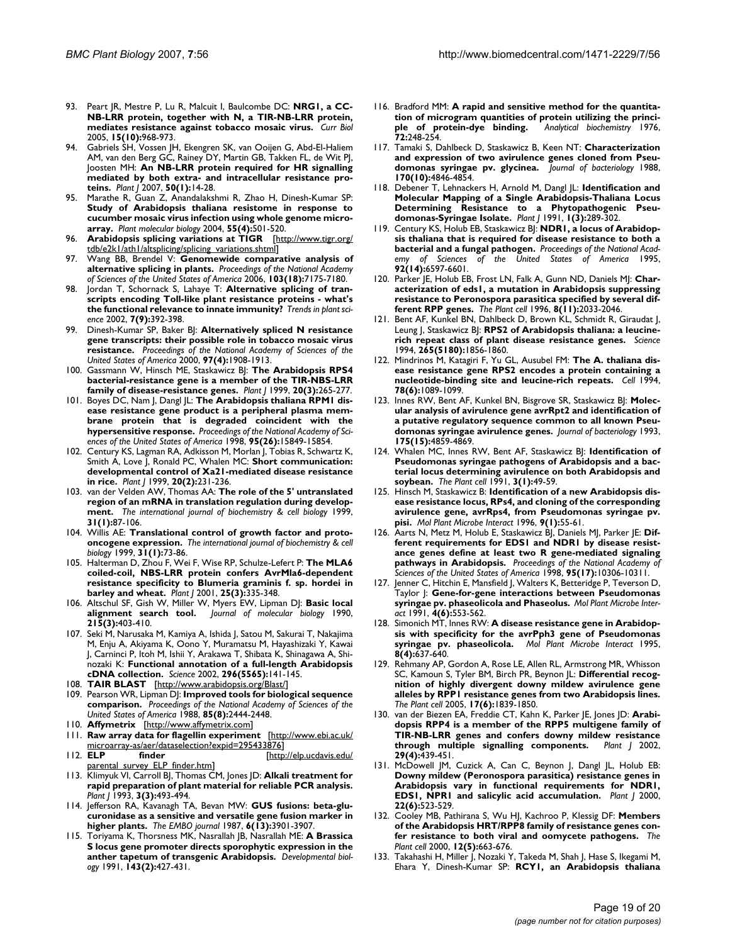- 93. Peart JR, Mestre P, Lu R, Malcuit I, Baulcombe DC: **[NRG1, a CC-](http://www.ncbi.nlm.nih.gov/entrez/query.fcgi?cmd=Retrieve&db=PubMed&dopt=Abstract&list_uids=15916955)[NB-LRR protein, together with N, a TIR-NB-LRR protein,](http://www.ncbi.nlm.nih.gov/entrez/query.fcgi?cmd=Retrieve&db=PubMed&dopt=Abstract&list_uids=15916955) [mediates resistance against tobacco mosaic virus.](http://www.ncbi.nlm.nih.gov/entrez/query.fcgi?cmd=Retrieve&db=PubMed&dopt=Abstract&list_uids=15916955)** *Curr Biol* 2005, **15(10):**968-973.
- 94. Gabriels SH, Vossen JH, Ekengren SK, van Ooijen G, Abd-El-Haliem AM, van den Berg GC, Rainey DY, Martin GB, Takken FL, de Wit PJ, Joosten MH: **[An NB-LRR protein required for HR signalling](http://www.ncbi.nlm.nih.gov/entrez/query.fcgi?cmd=Retrieve&db=PubMed&dopt=Abstract&list_uids=17346268) [mediated by both extra- and intracellular resistance pro](http://www.ncbi.nlm.nih.gov/entrez/query.fcgi?cmd=Retrieve&db=PubMed&dopt=Abstract&list_uids=17346268)[teins.](http://www.ncbi.nlm.nih.gov/entrez/query.fcgi?cmd=Retrieve&db=PubMed&dopt=Abstract&list_uids=17346268)** *Plant J* 2007, **50(1):**14-28.
- 95. Marathe R, Guan Z, Anandalakshmi R, Zhao H, Dinesh-Kumar SP: **[Study of Arabidopsis thaliana resistome in response to](http://www.ncbi.nlm.nih.gov/entrez/query.fcgi?cmd=Retrieve&db=PubMed&dopt=Abstract&list_uids=15604696) cucumber mosaic virus infection using whole genome micro[array.](http://www.ncbi.nlm.nih.gov/entrez/query.fcgi?cmd=Retrieve&db=PubMed&dopt=Abstract&list_uids=15604696)** *Plant molecular biology* 2004, **55(4):**501-520.
- 96. **Arabidopsis splicing variations at TIGR** [[http://www.tigr.org/](http://www.tigr.org/tdb/e2k1/ath1/altsplicing/splicing_variations.shtml) [tdb/e2k1/ath1/altsplicing/splicing\\_variations.shtml](http://www.tigr.org/tdb/e2k1/ath1/altsplicing/splicing_variations.shtml)]
- 97. Wang BB, Brendel V: **[Genomewide comparative analysis of](http://www.ncbi.nlm.nih.gov/entrez/query.fcgi?cmd=Retrieve&db=PubMed&dopt=Abstract&list_uids=16632598) [alternative splicing in plants.](http://www.ncbi.nlm.nih.gov/entrez/query.fcgi?cmd=Retrieve&db=PubMed&dopt=Abstract&list_uids=16632598)** *Proceedings of the National Academy of Sciences of the United States of America* 2006, **103(18):**7175-7180.
- 98. Jordan T, Schornack S, Lahaye T: **[Alternative splicing of tran](http://www.ncbi.nlm.nih.gov/entrez/query.fcgi?cmd=Retrieve&db=PubMed&dopt=Abstract&list_uids=12234730)[scripts encoding Toll-like plant resistance proteins - what's](http://www.ncbi.nlm.nih.gov/entrez/query.fcgi?cmd=Retrieve&db=PubMed&dopt=Abstract&list_uids=12234730) [the functional relevance to innate immunity?](http://www.ncbi.nlm.nih.gov/entrez/query.fcgi?cmd=Retrieve&db=PubMed&dopt=Abstract&list_uids=12234730)** *Trends in plant science* 2002, **7(9):**392-398.
- 99. Dinesh-Kumar SP, Baker BJ: **[Alternatively spliced N resistance](http://www.ncbi.nlm.nih.gov/entrez/query.fcgi?cmd=Retrieve&db=PubMed&dopt=Abstract&list_uids=10660679) [gene transcripts: their possible role in tobacco mosaic virus](http://www.ncbi.nlm.nih.gov/entrez/query.fcgi?cmd=Retrieve&db=PubMed&dopt=Abstract&list_uids=10660679) [resistance.](http://www.ncbi.nlm.nih.gov/entrez/query.fcgi?cmd=Retrieve&db=PubMed&dopt=Abstract&list_uids=10660679)** *Proceedings of the National Academy of Sciences of the United States of America* 2000, **97(4):**1908-1913.
- 100. Gassmann W, Hinsch ME, Staskawicz BJ: [The Arabidopsis RPS4](http://www.ncbi.nlm.nih.gov/entrez/query.fcgi?cmd=Retrieve&db=PubMed&dopt=Abstract&list_uids=10571887) **[bacterial-resistance gene is a member of the TIR-NBS-LRR](http://www.ncbi.nlm.nih.gov/entrez/query.fcgi?cmd=Retrieve&db=PubMed&dopt=Abstract&list_uids=10571887) [family of disease-resistance genes.](http://www.ncbi.nlm.nih.gov/entrez/query.fcgi?cmd=Retrieve&db=PubMed&dopt=Abstract&list_uids=10571887)** *Plant J* 1999, **20(3):**265-277.
- 101. Boyes DC, Nam J, Dangl JL: **[The Arabidopsis thaliana RPM1 dis](http://www.ncbi.nlm.nih.gov/entrez/query.fcgi?cmd=Retrieve&db=PubMed&dopt=Abstract&list_uids=9861059)[ease resistance gene product is a peripheral plasma mem](http://www.ncbi.nlm.nih.gov/entrez/query.fcgi?cmd=Retrieve&db=PubMed&dopt=Abstract&list_uids=9861059)brane protein that is degraded coincident with the [hypersensitive response.](http://www.ncbi.nlm.nih.gov/entrez/query.fcgi?cmd=Retrieve&db=PubMed&dopt=Abstract&list_uids=9861059)** *Proceedings of the National Academy of Sciences of the United States of America* 1998, **95(26):**15849-15854.
- 102. Century KS, Lagman RA, Adkisson M, Morlan J, Tobias R, Schwartz K, Smith A, Love J, Ronald PC, Whalen MC: **[Short communication:](http://www.ncbi.nlm.nih.gov/entrez/query.fcgi?cmd=Retrieve&db=PubMed&dopt=Abstract&list_uids=10571882) [developmental control of Xa21-mediated disease resistance](http://www.ncbi.nlm.nih.gov/entrez/query.fcgi?cmd=Retrieve&db=PubMed&dopt=Abstract&list_uids=10571882) [in rice.](http://www.ncbi.nlm.nih.gov/entrez/query.fcgi?cmd=Retrieve&db=PubMed&dopt=Abstract&list_uids=10571882)** *Plant J* 1999, **20(2):**231-236.
- 103. van der Velden AW, Thomas AA: **[The role of the 5' untranslated](http://www.ncbi.nlm.nih.gov/entrez/query.fcgi?cmd=Retrieve&db=PubMed&dopt=Abstract&list_uids=10216946) [region of an mRNA in translation regulation during develop](http://www.ncbi.nlm.nih.gov/entrez/query.fcgi?cmd=Retrieve&db=PubMed&dopt=Abstract&list_uids=10216946)[ment.](http://www.ncbi.nlm.nih.gov/entrez/query.fcgi?cmd=Retrieve&db=PubMed&dopt=Abstract&list_uids=10216946)** *The international journal of biochemistry & cell biology* 1999, **31(1):**87-106.
- 104. Willis AE: **[Translational control of growth factor and proto](http://www.ncbi.nlm.nih.gov/entrez/query.fcgi?cmd=Retrieve&db=PubMed&dopt=Abstract&list_uids=10216945)[oncogene expression.](http://www.ncbi.nlm.nih.gov/entrez/query.fcgi?cmd=Retrieve&db=PubMed&dopt=Abstract&list_uids=10216945)** *The international journal of biochemistry & cell biology* 1999, **31(1):**73-86.
- 105. Halterman D, Zhou F, Wei F, Wise RP, Schulze-Lefert P: **[The MLA6](http://www.ncbi.nlm.nih.gov/entrez/query.fcgi?cmd=Retrieve&db=PubMed&dopt=Abstract&list_uids=11208025) [coiled-coil, NBS-LRR protein confers AvrMla6-dependent](http://www.ncbi.nlm.nih.gov/entrez/query.fcgi?cmd=Retrieve&db=PubMed&dopt=Abstract&list_uids=11208025) resistance specificity to Blumeria graminis f. sp. hordei in [barley and wheat.](http://www.ncbi.nlm.nih.gov/entrez/query.fcgi?cmd=Retrieve&db=PubMed&dopt=Abstract&list_uids=11208025)** *Plant J* 2001, **25(3):**335-348.
- 106. Altschul SF, Gish W, Miller W, Myers EW, Lipman DJ: **[Basic local](http://www.ncbi.nlm.nih.gov/entrez/query.fcgi?cmd=Retrieve&db=PubMed&dopt=Abstract&list_uids=2231712) [alignment search tool.](http://www.ncbi.nlm.nih.gov/entrez/query.fcgi?cmd=Retrieve&db=PubMed&dopt=Abstract&list_uids=2231712)** *Journal of molecular biology* 1990, **215(3):**403-410.
- 107. Seki M, Narusaka M, Kamiya A, Ishida J, Satou M, Sakurai T, Nakajima M, Enju A, Akiyama K, Oono Y, Muramatsu M, Hayashizaki Y, Kawai J, Carninci P, Itoh M, Ishii Y, Arakawa T, Shibata K, Shinagawa A, Shinozaki K: **[Functional annotation of a full-length Arabidopsis](http://www.ncbi.nlm.nih.gov/entrez/query.fcgi?cmd=Retrieve&db=PubMed&dopt=Abstract&list_uids=11910074) [cDNA collection.](http://www.ncbi.nlm.nih.gov/entrez/query.fcgi?cmd=Retrieve&db=PubMed&dopt=Abstract&list_uids=11910074)** *Science* 2002, **296(5565):**141-145.
- 108. **TAIR BLAST** [\[http://www.arabidopsis.org/Blast/](http://www.arabidopsis.org/Blast/)]
- 109. Pearson WR, Lipman DJ: **[Improved tools for biological sequence](http://www.ncbi.nlm.nih.gov/entrez/query.fcgi?cmd=Retrieve&db=PubMed&dopt=Abstract&list_uids=3162770) [comparison.](http://www.ncbi.nlm.nih.gov/entrez/query.fcgi?cmd=Retrieve&db=PubMed&dopt=Abstract&list_uids=3162770)** *Proceedings of the National Academy of Sciences of the United States of America* 1988, **85(8):**2444-2448.
- 110. **Affymetrix** [\[http://www.affymetrix.com](http://www.affymetrix.com)]
- 111. **Raw array data for flagellin experiment** [\[http://www.ebi.ac.uk/](http://www.ebi.ac.uk/microarray-as/aer/dataselection?expid=295433876) [microarray-as/aer/dataselection?expid=295433876](http://www.ebi.ac.uk/microarray-as/aer/dataselection?expid=295433876)]<br>II2. ELP finder
- 112. **ELP finder** [[http://elp.ucdavis.edu/](http://elp.ucdavis.edu/parental_survey_ELP_finder.htm) arental\_survey\_ELP\_finder.htm]
- 113. Klimyuk VI, Carroll BJ, Thomas CM, Jones JD: **[Alkali treatment for](http://www.ncbi.nlm.nih.gov/entrez/query.fcgi?cmd=Retrieve&db=PubMed&dopt=Abstract&list_uids=8220456) [rapid preparation of plant material for reliable PCR analysis.](http://www.ncbi.nlm.nih.gov/entrez/query.fcgi?cmd=Retrieve&db=PubMed&dopt=Abstract&list_uids=8220456)** *Plant J* 1993, **3(3):**493-494.
- 114. Jefferson RA, Kavanagh TA, Bevan MW: **[GUS fusions: beta-glu](http://www.ncbi.nlm.nih.gov/entrez/query.fcgi?cmd=Retrieve&db=PubMed&dopt=Abstract&list_uids=3327686)[curonidase as a sensitive and versatile gene fusion marker in](http://www.ncbi.nlm.nih.gov/entrez/query.fcgi?cmd=Retrieve&db=PubMed&dopt=Abstract&list_uids=3327686) [higher plants.](http://www.ncbi.nlm.nih.gov/entrez/query.fcgi?cmd=Retrieve&db=PubMed&dopt=Abstract&list_uids=3327686)** *The EMBO journal* 1987, **6(13):**3901-3907.
- 115. Toriyama K, Thorsness MK, Nasrallah JB, Nasrallah ME: **[A Brassica](http://www.ncbi.nlm.nih.gov/entrez/query.fcgi?cmd=Retrieve&db=PubMed&dopt=Abstract&list_uids=1991565) [S locus gene promoter directs sporophytic expression in the](http://www.ncbi.nlm.nih.gov/entrez/query.fcgi?cmd=Retrieve&db=PubMed&dopt=Abstract&list_uids=1991565) [anther tapetum of transgenic Arabidopsis.](http://www.ncbi.nlm.nih.gov/entrez/query.fcgi?cmd=Retrieve&db=PubMed&dopt=Abstract&list_uids=1991565)** *Developmental biology* 1991, **143(2):**427-431.
- 116. Bradford MM: **[A rapid and sensitive method for the quantita](http://www.ncbi.nlm.nih.gov/entrez/query.fcgi?cmd=Retrieve&db=PubMed&dopt=Abstract&list_uids=942051)**tion of microgram quantities of protein utilizing the princi-<br>ple of protein-dye binding. Analytical biochemistry 1976, [ple of protein-dye binding.](http://www.ncbi.nlm.nih.gov/entrez/query.fcgi?cmd=Retrieve&db=PubMed&dopt=Abstract&list_uids=942051) **72:**248-254.
- 117. Tamaki S, Dahlbeck D, Staskawicz B, Keen NT: **[Characterization](http://www.ncbi.nlm.nih.gov/entrez/query.fcgi?cmd=Retrieve&db=PubMed&dopt=Abstract&list_uids=3049552) [and expression of two avirulence genes cloned from Pseu](http://www.ncbi.nlm.nih.gov/entrez/query.fcgi?cmd=Retrieve&db=PubMed&dopt=Abstract&list_uids=3049552)[domonas syringae pv. glycinea.](http://www.ncbi.nlm.nih.gov/entrez/query.fcgi?cmd=Retrieve&db=PubMed&dopt=Abstract&list_uids=3049552)** *Journal of bacteriology* 1988, **170(10):**4846-4854.
- 118. Debener T, Lehnackers H, Arnold M, Dangl JL: **Identification and Molecular Mapping of a Single Arabidopsis-Thaliana Locus Determining Resistance to a Phytopathogenic Pseudomonas-Syringae Isolate.** *Plant J* 1991, **1(3):**289-302.
- 119. Century KS, Holub EB, Staskawicz BJ: **[NDR1, a locus of Arabidop](http://www.ncbi.nlm.nih.gov/entrez/query.fcgi?cmd=Retrieve&db=PubMed&dopt=Abstract&list_uids=11607554)[sis thaliana that is required for disease resistance to both a](http://www.ncbi.nlm.nih.gov/entrez/query.fcgi?cmd=Retrieve&db=PubMed&dopt=Abstract&list_uids=11607554) [bacterial and a fungal pathogen.](http://www.ncbi.nlm.nih.gov/entrez/query.fcgi?cmd=Retrieve&db=PubMed&dopt=Abstract&list_uids=11607554)** *Proceedings of the National Academy of Sciences of the United States of America* 1995, **92(14):**6597-6601.
- 120. Parker JE, Holub EB, Frost LN, Falk A, Gunn ND, Daniels MJ: **[Char](http://www.ncbi.nlm.nih.gov/entrez/query.fcgi?cmd=Retrieve&db=PubMed&dopt=Abstract&list_uids=8953768)[acterization of eds1, a mutation in Arabidopsis suppressing](http://www.ncbi.nlm.nih.gov/entrez/query.fcgi?cmd=Retrieve&db=PubMed&dopt=Abstract&list_uids=8953768) resistance to Peronospora parasitica specified by several dif[ferent RPP genes.](http://www.ncbi.nlm.nih.gov/entrez/query.fcgi?cmd=Retrieve&db=PubMed&dopt=Abstract&list_uids=8953768)** *The Plant cell* 1996, **8(11):**2033-2046.
- 121. Bent AF, Kunkel BN, Dahlbeck D, Brown KL, Schmidt R, Giraudat J, Leung J, Staskawicz BJ: **[RPS2 of Arabidopsis thaliana: a leucine](http://www.ncbi.nlm.nih.gov/entrez/query.fcgi?cmd=Retrieve&db=PubMed&dopt=Abstract&list_uids=8091210)[rich repeat class of plant disease resistance genes.](http://www.ncbi.nlm.nih.gov/entrez/query.fcgi?cmd=Retrieve&db=PubMed&dopt=Abstract&list_uids=8091210)** *Science* 1994, **265(5180):**1856-1860.
- 122. Mindrinos M, Katagiri F, Yu GL, Ausubel FM: **[The A. thaliana dis](http://www.ncbi.nlm.nih.gov/entrez/query.fcgi?cmd=Retrieve&db=PubMed&dopt=Abstract&list_uids=7923358)[ease resistance gene RPS2 encodes a protein containing a](http://www.ncbi.nlm.nih.gov/entrez/query.fcgi?cmd=Retrieve&db=PubMed&dopt=Abstract&list_uids=7923358) [nucleotide-binding site and leucine-rich repeats.](http://www.ncbi.nlm.nih.gov/entrez/query.fcgi?cmd=Retrieve&db=PubMed&dopt=Abstract&list_uids=7923358)** *Cell* 1994, **78(6):**1089-1099.
- 123. Innes RW, Bent AF, Kunkel BN, Bisgrove SR, Staskawicz BJ: **[Molec](http://www.ncbi.nlm.nih.gov/entrez/query.fcgi?cmd=Retrieve&db=PubMed&dopt=Abstract&list_uids=8335641)[ular analysis of avirulence gene avrRpt2 and identification of](http://www.ncbi.nlm.nih.gov/entrez/query.fcgi?cmd=Retrieve&db=PubMed&dopt=Abstract&list_uids=8335641) a putative regulatory sequence common to all known Pseu[domonas syringae avirulence genes.](http://www.ncbi.nlm.nih.gov/entrez/query.fcgi?cmd=Retrieve&db=PubMed&dopt=Abstract&list_uids=8335641)** *Journal of bacteriology* 1993, **175(15):**4859-4869.
- 124. Whalen MC, Innes RW, Bent AF, Staskawicz BJ: **[Identification of](http://www.ncbi.nlm.nih.gov/entrez/query.fcgi?cmd=Retrieve&db=PubMed&dopt=Abstract&list_uids=1824334) [Pseudomonas syringae pathogens of Arabidopsis and a bac](http://www.ncbi.nlm.nih.gov/entrez/query.fcgi?cmd=Retrieve&db=PubMed&dopt=Abstract&list_uids=1824334)terial locus determining avirulence on both Arabidopsis and [soybean.](http://www.ncbi.nlm.nih.gov/entrez/query.fcgi?cmd=Retrieve&db=PubMed&dopt=Abstract&list_uids=1824334)** *The Plant cell* 1991, **3(1):**49-59.
- 125. Hinsch M, Staskawicz B: **[Identification of a new Arabidopsis dis](http://www.ncbi.nlm.nih.gov/entrez/query.fcgi?cmd=Retrieve&db=PubMed&dopt=Abstract&list_uids=8589423)[ease resistance locus, RPs4, and cloning of the corresponding](http://www.ncbi.nlm.nih.gov/entrez/query.fcgi?cmd=Retrieve&db=PubMed&dopt=Abstract&list_uids=8589423) avirulence gene, avrRps4, from Pseudomonas syringae pv. [pisi.](http://www.ncbi.nlm.nih.gov/entrez/query.fcgi?cmd=Retrieve&db=PubMed&dopt=Abstract&list_uids=8589423)** *Mol Plant Microbe Interact* 1996, **9(1):**55-61.
- 126. Aarts N, Metz M, Holub E, Staskawicz BJ, Daniels MJ, Parker JE: **[Dif](http://www.ncbi.nlm.nih.gov/entrez/query.fcgi?cmd=Retrieve&db=PubMed&dopt=Abstract&list_uids=9707643)[ferent requirements for EDS1 and NDR1 by disease resist](http://www.ncbi.nlm.nih.gov/entrez/query.fcgi?cmd=Retrieve&db=PubMed&dopt=Abstract&list_uids=9707643)ance genes define at least two R gene-mediated signaling [pathways in Arabidopsis.](http://www.ncbi.nlm.nih.gov/entrez/query.fcgi?cmd=Retrieve&db=PubMed&dopt=Abstract&list_uids=9707643)** *Proceedings of the National Academy of Sciences of the United States of America* 1998, **95(17):**10306-10311.
- 127. Jenner C, Hitchin E, Mansfield J, Walters K, Betteridge P, Teverson D, Taylor J: **[Gene-for-gene interactions between Pseudomonas](http://www.ncbi.nlm.nih.gov/entrez/query.fcgi?cmd=Retrieve&db=PubMed&dopt=Abstract&list_uids=1666524) [syringae pv. phaseolicola and Phaseolus.](http://www.ncbi.nlm.nih.gov/entrez/query.fcgi?cmd=Retrieve&db=PubMed&dopt=Abstract&list_uids=1666524)** *Mol Plant Microbe Interact* 1991, **4(6):**553-562.
- 128. Simonich MT, Innes RW: **[A disease resistance gene in Arabidop](http://www.ncbi.nlm.nih.gov/entrez/query.fcgi?cmd=Retrieve&db=PubMed&dopt=Abstract&list_uids=8589418)[sis with specificity for the avrPph3 gene of Pseudomonas](http://www.ncbi.nlm.nih.gov/entrez/query.fcgi?cmd=Retrieve&db=PubMed&dopt=Abstract&list_uids=8589418) [syringae pv. phaseolicola.](http://www.ncbi.nlm.nih.gov/entrez/query.fcgi?cmd=Retrieve&db=PubMed&dopt=Abstract&list_uids=8589418)** *Mol Plant Microbe Interact* 1995, **8(4):**637-640.
- 129. Rehmany AP, Gordon A, Rose LE, Allen RL, Armstrong MR, Whisson SC, Kamoun S, Tyler BM, Birch PR, Beynon JL: **[Differential recog](http://www.ncbi.nlm.nih.gov/entrez/query.fcgi?cmd=Retrieve&db=PubMed&dopt=Abstract&list_uids=15894715)nition of highly divergent downy mildew avirulence gene [alleles by RPP1 resistance genes from two Arabidopsis lines.](http://www.ncbi.nlm.nih.gov/entrez/query.fcgi?cmd=Retrieve&db=PubMed&dopt=Abstract&list_uids=15894715)** *The Plant cell* 2005, **17(6):**1839-1850.
- 130. van der Biezen EA, Freddie CT, Kahn K, Parker JE, Jones JD: **[Arabi](http://www.ncbi.nlm.nih.gov/entrez/query.fcgi?cmd=Retrieve&db=PubMed&dopt=Abstract&list_uids=11846877)[dopsis RPP4 is a member of the RPP5 multigene family of](http://www.ncbi.nlm.nih.gov/entrez/query.fcgi?cmd=Retrieve&db=PubMed&dopt=Abstract&list_uids=11846877) TIR-NB-LRR genes and confers downy mildew resistance [through multiple signalling components.](http://www.ncbi.nlm.nih.gov/entrez/query.fcgi?cmd=Retrieve&db=PubMed&dopt=Abstract&list_uids=11846877)** *Plant J* 2002, **29(4):**439-451.
- 131. McDowell JM, Cuzick A, Can C, Beynon J, Dangl JL, Holub EB: **[Downy mildew \(Peronospora parasitica\) resistance genes in](http://www.ncbi.nlm.nih.gov/entrez/query.fcgi?cmd=Retrieve&db=PubMed&dopt=Abstract&list_uids=10886772) Arabidopsis vary in functional requirements for NDR1, [EDS1, NPR1 and salicylic acid accumulation.](http://www.ncbi.nlm.nih.gov/entrez/query.fcgi?cmd=Retrieve&db=PubMed&dopt=Abstract&list_uids=10886772)** *Plant J* 2000, **22(6):**523-529.
- 132. Cooley MB, Pathirana S, Wu HJ, Kachroo P, Klessig DF: **[Members](http://www.ncbi.nlm.nih.gov/entrez/query.fcgi?cmd=Retrieve&db=PubMed&dopt=Abstract&list_uids=10810142) [of the Arabidopsis HRT/RPP8 family of resistance genes con](http://www.ncbi.nlm.nih.gov/entrez/query.fcgi?cmd=Retrieve&db=PubMed&dopt=Abstract&list_uids=10810142)[fer resistance to both viral and oomycete pathogens.](http://www.ncbi.nlm.nih.gov/entrez/query.fcgi?cmd=Retrieve&db=PubMed&dopt=Abstract&list_uids=10810142)** *The Plant cell* 2000, **12(5):**663-676.
- 133. Takahashi H, Miller J, Nozaki Y, Takeda M, Shah J, Hase S, Ikegami M, Ehara Y, Dinesh-Kumar SP: **[RCY1, an Arabidopsis thaliana](http://www.ncbi.nlm.nih.gov/entrez/query.fcgi?cmd=Retrieve&db=PubMed&dopt=Abstract&list_uids=12472683)**